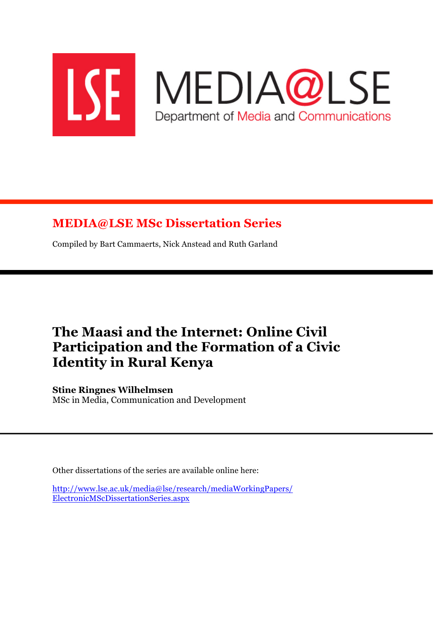

# **MEDIA@LSE MSc Dissertation Series**

Compiled by Bart Cammaerts, Nick Anstead and Ruth Garland

# **The Maasi and the Internet: Online Civil Participation and the Formation of a Civic Identity in Rural Kenya**

**Stine Ringnes Wilhelmsen** MSc in Media, Communication and Development

Other dissertations of the series are available online here:

http://www.lse.ac.uk/media@lse/research/mediaWorkingPapers/ ElectronicMScDissertationSeries.aspx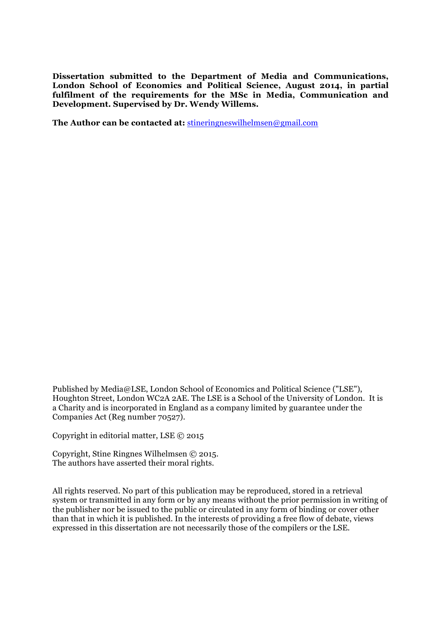**Dissertation submitted to the Department of Media and Communications, London School of Economics and Political Science, August 2014, in partial fulfilment of the requirements for the MSc in Media, Communication and Development. Supervised by Dr. Wendy Willems.** 

**The Author can be contacted at:** stineringneswilhelmsen@gmail.com

Published by Media@LSE, London School of Economics and Political Science ("LSE"), Houghton Street, London WC2A 2AE. The LSE is a School of the University of London. It is a Charity and is incorporated in England as a company limited by guarantee under the Companies Act (Reg number 70527).

Copyright in editorial matter, LSE © 2015

Copyright, Stine Ringnes Wilhelmsen © 2015. The authors have asserted their moral rights.

All rights reserved. No part of this publication may be reproduced, stored in a retrieval system or transmitted in any form or by any means without the prior permission in writing of the publisher nor be issued to the public or circulated in any form of binding or cover other than that in which it is published. In the interests of providing a free flow of debate, views expressed in this dissertation are not necessarily those of the compilers or the LSE.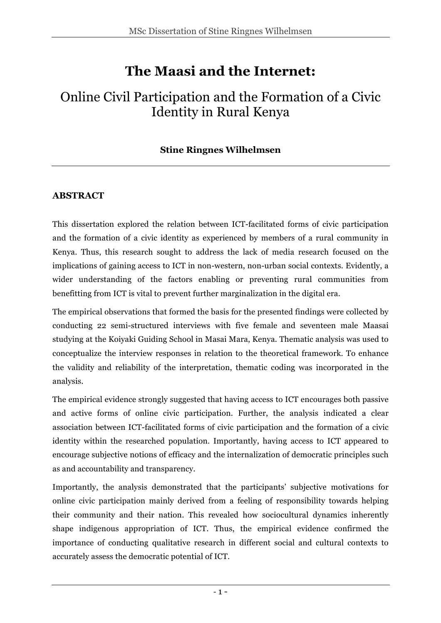# **The Maasi and the Internet:**

# Online Civil Participation and the Formation of a Civic Identity in Rural Kenya

## **Stine Ringnes Wilhelmsen**

## **ABSTRACT**

This dissertation explored the relation between ICT-facilitated forms of civic participation and the formation of a civic identity as experienced by members of a rural community in Kenya. Thus, this research sought to address the lack of media research focused on the implications of gaining access to ICT in non-western, non-urban social contexts. Evidently, a wider understanding of the factors enabling or preventing rural communities from benefitting from ICT is vital to prevent further marginalization in the digital era.

The empirical observations that formed the basis for the presented findings were collected by conducting 22 semi-structured interviews with five female and seventeen male Maasai studying at the Koiyaki Guiding School in Masai Mara, Kenya. Thematic analysis was used to conceptualize the interview responses in relation to the theoretical framework. To enhance the validity and reliability of the interpretation, thematic coding was incorporated in the analysis.

The empirical evidence strongly suggested that having access to ICT encourages both passive and active forms of online civic participation. Further, the analysis indicated a clear association between ICT-facilitated forms of civic participation and the formation of a civic identity within the researched population. Importantly, having access to ICT appeared to encourage subjective notions of efficacy and the internalization of democratic principles such as and accountability and transparency.

Importantly, the analysis demonstrated that the participants' subjective motivations for online civic participation mainly derived from a feeling of responsibility towards helping their community and their nation. This revealed how sociocultural dynamics inherently shape indigenous appropriation of ICT. Thus, the empirical evidence confirmed the importance of conducting qualitative research in different social and cultural contexts to accurately assess the democratic potential of ICT.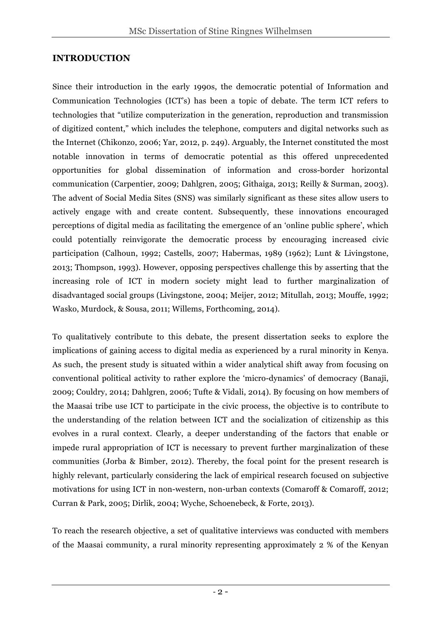## **INTRODUCTION**

Since their introduction in the early 1990s, the democratic potential of Information and Communication Technologies (ICT's) has been a topic of debate. The term ICT refers to technologies that "utilize computerization in the generation, reproduction and transmission of digitized content," which includes the telephone, computers and digital networks such as the Internet (Chikonzo, 2006; Yar, 2012, p. 249). Arguably, the Internet constituted the most notable innovation in terms of democratic potential as this offered unprecedented opportunities for global dissemination of information and cross-border horizontal communication (Carpentier, 2009; Dahlgren, 2005; Githaiga, 2013; Reilly & Surman, 2003). The advent of Social Media Sites (SNS) was similarly significant as these sites allow users to actively engage with and create content. Subsequently, these innovations encouraged perceptions of digital media as facilitating the emergence of an 'online public sphere', which could potentially reinvigorate the democratic process by encouraging increased civic participation (Calhoun, 1992; Castells, 2007; Habermas, 1989 (1962); Lunt & Livingstone, 2013; Thompson, 1993). However, opposing perspectives challenge this by asserting that the increasing role of ICT in modern society might lead to further marginalization of disadvantaged social groups (Livingstone, 2004; Meijer, 2012; Mitullah, 2013; Mouffe, 1992; Wasko, Murdock, & Sousa, 2011; Willems, Forthcoming, 2014).

To qualitatively contribute to this debate, the present dissertation seeks to explore the implications of gaining access to digital media as experienced by a rural minority in Kenya. As such, the present study is situated within a wider analytical shift away from focusing on conventional political activity to rather explore the 'micro-dynamics' of democracy (Banaji, 2009; Couldry, 2014; Dahlgren, 2006; Tufte & Vidali, 2014). By focusing on how members of the Maasai tribe use ICT to participate in the civic process, the objective is to contribute to the understanding of the relation between ICT and the socialization of citizenship as this evolves in a rural context. Clearly, a deeper understanding of the factors that enable or impede rural appropriation of ICT is necessary to prevent further marginalization of these communities (Jorba & Bimber, 2012). Thereby, the focal point for the present research is highly relevant, particularly considering the lack of empirical research focused on subjective motivations for using ICT in non-western, non-urban contexts (Comaroff & Comaroff, 2012; Curran & Park, 2005; Dirlik, 2004; Wyche, Schoenebeck, & Forte, 2013).

To reach the research objective, a set of qualitative interviews was conducted with members of the Maasai community, a rural minority representing approximately 2 % of the Kenyan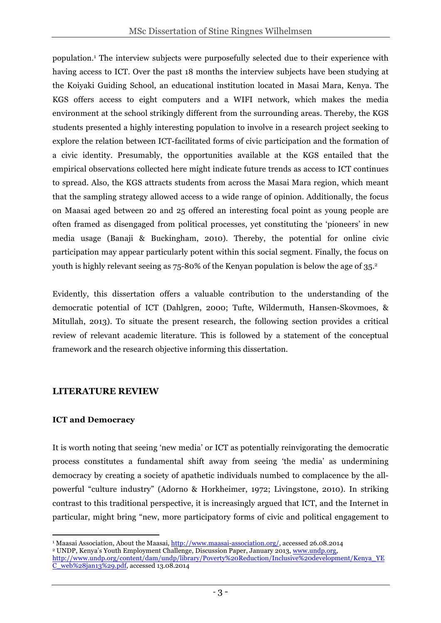population. <sup>1</sup> The interview subjects were purposefully selected due to their experience with having access to ICT. Over the past 18 months the interview subjects have been studying at the Koiyaki Guiding School, an educational institution located in Masai Mara, Kenya. The KGS offers access to eight computers and a WIFI network, which makes the media environment at the school strikingly different from the surrounding areas. Thereby, the KGS students presented a highly interesting population to involve in a research project seeking to explore the relation between ICT-facilitated forms of civic participation and the formation of a civic identity. Presumably, the opportunities available at the KGS entailed that the empirical observations collected here might indicate future trends as access to ICT continues to spread. Also, the KGS attracts students from across the Masai Mara region, which meant that the sampling strategy allowed access to a wide range of opinion. Additionally, the focus on Maasai aged between 20 and 25 offered an interesting focal point as young people are often framed as disengaged from political processes, yet constituting the 'pioneers' in new media usage (Banaji & Buckingham, 2010). Thereby, the potential for online civic participation may appear particularly potent within this social segment. Finally, the focus on youth is highly relevant seeing as 75-80% of the Kenyan population is below the age of 35. 2

Evidently, this dissertation offers a valuable contribution to the understanding of the democratic potential of ICT (Dahlgren, 2000; Tufte, Wildermuth, Hansen-Skovmoes, & Mitullah, 2013). To situate the present research, the following section provides a critical review of relevant academic literature. This is followed by a statement of the conceptual framework and the research objective informing this dissertation.

## **LITERATURE REVIEW**

 

## **ICT and Democracy**

It is worth noting that seeing 'new media' or ICT as potentially reinvigorating the democratic process constitutes a fundamental shift away from seeing 'the media' as undermining democracy by creating a society of apathetic individuals numbed to complacence by the allpowerful "culture industry" (Adorno & Horkheimer, 1972; Livingstone, 2010). In striking contrast to this traditional perspective, it is increasingly argued that ICT, and the Internet in particular, might bring "new, more participatory forms of civic and political engagement to

<sup>1</sup> Maasai Association, About the Maasai, http://www.maasai-association.org/, accessed 26.08.2014 <sup>2</sup> UNDP, Kenya's Youth Employment Challenge, Discussion Paper, January 2013, www.undp.org, http://www.undp.org/content/dam/undp/library/Poverty%20Reduction/Inclusive%20development/Kenya\_YE web%28jan13%29.pdf, accessed 13.08.2014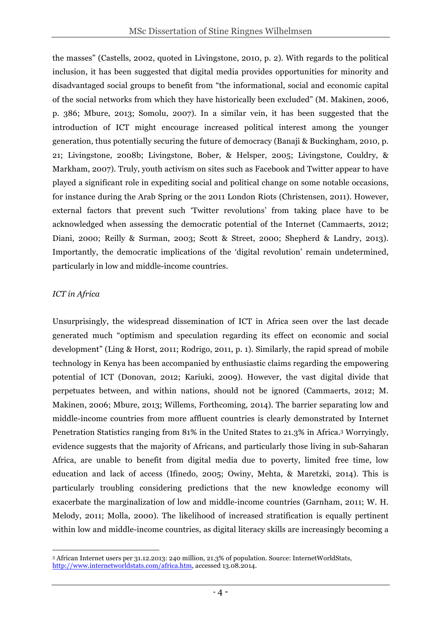the masses" (Castells, 2002, quoted in Livingstone, 2010, p. 2). With regards to the political inclusion, it has been suggested that digital media provides opportunities for minority and disadvantaged social groups to benefit from "the informational, social and economic capital of the social networks from which they have historically been excluded" (M. Makinen, 2006, p. 386; Mbure, 2013; Somolu, 2007). In a similar vein, it has been suggested that the introduction of ICT might encourage increased political interest among the younger generation, thus potentially securing the future of democracy (Banaji & Buckingham, 2010, p. 21; Livingstone, 2008b; Livingstone, Bober, & Helsper, 2005; Livingstone, Couldry, & Markham, 2007). Truly, youth activism on sites such as Facebook and Twitter appear to have played a significant role in expediting social and political change on some notable occasions, for instance during the Arab Spring or the 2011 London Riots (Christensen, 2011). However, external factors that prevent such 'Twitter revolutions' from taking place have to be acknowledged when assessing the democratic potential of the Internet (Cammaerts, 2012; Diani, 2000; Reilly & Surman, 2003; Scott & Street, 2000; Shepherd & Landry, 2013). Importantly, the democratic implications of the 'digital revolution' remain undetermined, particularly in low and middle-income countries.

#### *ICT in Africa*

Unsurprisingly, the widespread dissemination of ICT in Africa seen over the last decade generated much "optimism and speculation regarding its effect on economic and social development" (Ling & Horst, 2011; Rodrigo, 2011, p. 1). Similarly, the rapid spread of mobile technology in Kenya has been accompanied by enthusiastic claims regarding the empowering potential of ICT (Donovan, 2012; Kariuki, 2009). However, the vast digital divide that perpetuates between, and within nations, should not be ignored (Cammaerts, 2012; M. Makinen, 2006; Mbure, 2013; Willems, Forthcoming, 2014). The barrier separating low and middle-income countries from more affluent countries is clearly demonstrated by Internet Penetration Statistics ranging from 81% in the United States to 21.3% in Africa.3 Worryingly, evidence suggests that the majority of Africans, and particularly those living in sub-Saharan Africa, are unable to benefit from digital media due to poverty, limited free time, low education and lack of access (Ifinedo, 2005; Owiny, Mehta, & Maretzki, 2014). This is particularly troubling considering predictions that the new knowledge economy will exacerbate the marginalization of low and middle-income countries (Garnham, 2011; W. H. Melody, 2011; Molla, 2000). The likelihood of increased stratification is equally pertinent within low and middle-income countries, as digital literacy skills are increasingly becoming a

 <sup>3</sup> African Internet users per 31.12.2013: 240 million, 21.3% of population. Source: InternetWorldStats, http://www.internetworldstats.com/africa.htm, accessed 13.08.2014.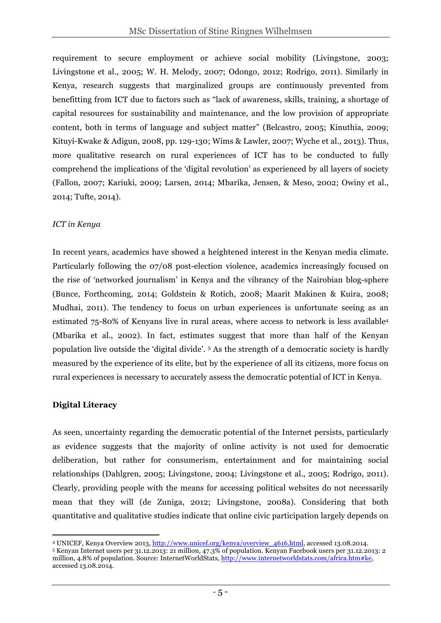requirement to secure employment or achieve social mobility (Livingstone, 2003; Livingstone et al., 2005; W. H. Melody, 2007; Odongo, 2012; Rodrigo, 2011). Similarly in Kenya, research suggests that marginalized groups are continuously prevented from benefitting from ICT due to factors such as "lack of awareness, skills, training, a shortage of capital resources for sustainability and maintenance, and the low provision of appropriate content, both in terms of language and subject matter" (Belcastro, 2005; Kinuthia, 2009; Kituyi-Kwake & Adigun, 2008, pp. 129-130; Wims & Lawler, 2007; Wyche et al., 2013). Thus, more qualitative research on rural experiences of ICT has to be conducted to fully comprehend the implications of the 'digital revolution' as experienced by all layers of society (Fallon, 2007; Kariuki, 2009; Larsen, 2014; Mbarika, Jensen, & Meso, 2002; Owiny et al., 2014; Tufte, 2014).

#### *ICT in Kenya*

In recent years, academics have showed a heightened interest in the Kenyan media climate. Particularly following the 07/08 post-election violence, academics increasingly focused on the rise of 'networked journalism' in Kenya and the vibrancy of the Nairobian blog-sphere (Bunce, Forthcoming, 2014; Goldstein & Rotich, 2008; Maarit Makinen & Kuira, 2008; Mudhai, 2011). The tendency to focus on urban experiences is unfortunate seeing as an estimated 75-80% of Kenyans live in rural areas, where access to network is less available4 (Mbarika et al., 2002). In fact, estimates suggest that more than half of the Kenyan population live outside the 'digital divide'. 5 As the strength of a democratic society is hardly measured by the experience of its elite, but by the experience of all its citizens, more focus on rural experiences is necessary to accurately assess the democratic potential of ICT in Kenya.

#### **Digital Literacy**

As seen, uncertainty regarding the democratic potential of the Internet persists, particularly as evidence suggests that the majority of online activity is not used for democratic deliberation, but rather for consumerism, entertainment and for maintaining social relationships (Dahlgren, 2005; Livingstone, 2004; Livingstone et al., 2005; Rodrigo, 2011). Clearly, providing people with the means for accessing political websites do not necessarily mean that they will (de Zuniga, 2012; Livingstone, 2008a). Considering that both quantitative and qualitative studies indicate that online civic participation largely depends on

 4 UNICEF, Kenya Overview 2013, http://www.unicef.org/kenya/overview\_4616.html, accessed 13.08.2014.<br>5 Kenyan Internet users per 31.12.2013: 21 million, 47.3% of population. Kenyan Facebook users per 31.12.2013: 2

million, 4.8% of population. Source: InternetWorldStats, http://www.internetworldstats.com/africa.htm#ke, accessed 13.08.2014.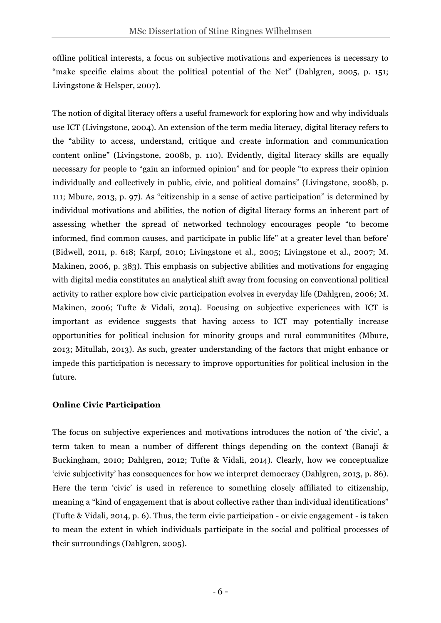offline political interests, a focus on subjective motivations and experiences is necessary to "make specific claims about the political potential of the Net" (Dahlgren, 2005, p. 151; Livingstone & Helsper, 2007).

The notion of digital literacy offers a useful framework for exploring how and why individuals use ICT (Livingstone, 2004). An extension of the term media literacy, digital literacy refers to the "ability to access, understand, critique and create information and communication content online" (Livingstone, 2008b, p. 110). Evidently, digital literacy skills are equally necessary for people to "gain an informed opinion" and for people "to express their opinion individually and collectively in public, civic, and political domains" (Livingstone, 2008b, p. 111; Mbure, 2013, p. 97). As "citizenship in a sense of active participation" is determined by individual motivations and abilities, the notion of digital literacy forms an inherent part of assessing whether the spread of networked technology encourages people "to become informed, find common causes, and participate in public life" at a greater level than before' (Bidwell, 2011, p. 618; Karpf, 2010; Livingstone et al., 2005; Livingstone et al., 2007; M. Makinen, 2006, p. 383). This emphasis on subjective abilities and motivations for engaging with digital media constitutes an analytical shift away from focusing on conventional political activity to rather explore how civic participation evolves in everyday life (Dahlgren, 2006; M. Makinen, 2006; Tufte & Vidali, 2014). Focusing on subjective experiences with ICT is important as evidence suggests that having access to ICT may potentially increase opportunities for political inclusion for minority groups and rural communitites (Mbure, 2013; Mitullah, 2013). As such, greater understanding of the factors that might enhance or impede this participation is necessary to improve opportunities for political inclusion in the future.

## **Online Civic Participation**

The focus on subjective experiences and motivations introduces the notion of 'the civic', a term taken to mean a number of different things depending on the context (Banaji & Buckingham, 2010; Dahlgren, 2012; Tufte & Vidali, 2014). Clearly, how we conceptualize 'civic subjectivity' has consequences for how we interpret democracy (Dahlgren, 2013, p. 86). Here the term 'civic' is used in reference to something closely affiliated to citizenship, meaning a "kind of engagement that is about collective rather than individual identifications" (Tufte & Vidali, 2014, p. 6). Thus, the term civic participation - or civic engagement - is taken to mean the extent in which individuals participate in the social and political processes of their surroundings (Dahlgren, 2005).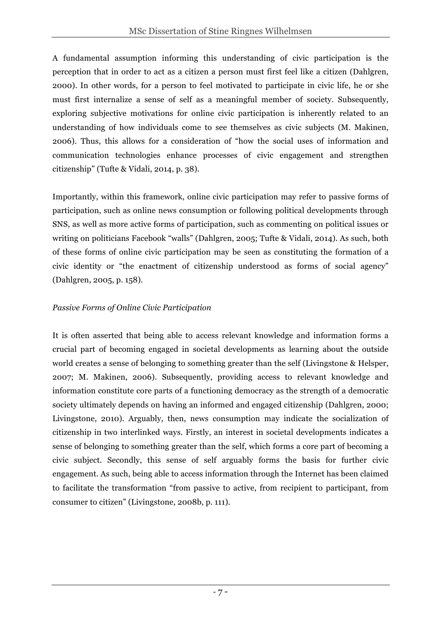A fundamental assumption informing this understanding of civic participation is the perception that in order to act as a citizen a person must first feel like a citizen (Dahlgren, 2000). In other words, for a person to feel motivated to participate in civic life, he or she must first internalize a sense of self as a meaningful member of society. Subsequently, exploring subjective motivations for online civic participation is inherently related to an understanding of how individuals come to see themselves as civic subjects (M. Makinen, 2006). Thus, this allows for a consideration of "how the social uses of information and communication technologies enhance processes of civic engagement and strengthen citizenship" (Tufte & Vidali, 2014, p. 38).

Importantly, within this framework, online civic participation may refer to passive forms of participation, such as online news consumption or following political developments through SNS, as well as more active forms of participation, such as commenting on political issues or writing on politicians Facebook "walls" (Dahlgren, 2005; Tufte & Vidali, 2014). As such, both of these forms of online civic participation may be seen as constituting the formation of a civic identity or "the enactment of citizenship understood as forms of social agency" (Dahlgren, 2005, p. 158).

## *Passive Forms of Online Civic Participation*

It is often asserted that being able to access relevant knowledge and information forms a crucial part of becoming engaged in societal developments as learning about the outside world creates a sense of belonging to something greater than the self (Livingstone & Helsper, 2007; M. Makinen, 2006). Subsequently, providing access to relevant knowledge and information constitute core parts of a functioning democracy as the strength of a democratic society ultimately depends on having an informed and engaged citizenship (Dahlgren, 2000; Livingstone, 2010). Arguably, then, news consumption may indicate the socialization of citizenship in two interlinked ways. Firstly, an interest in societal developments indicates a sense of belonging to something greater than the self, which forms a core part of becoming a civic subject. Secondly, this sense of self arguably forms the basis for further civic engagement. As such, being able to access information through the Internet has been claimed to facilitate the transformation "from passive to active, from recipient to participant, from consumer to citizen" (Livingstone, 2008b, p. 111).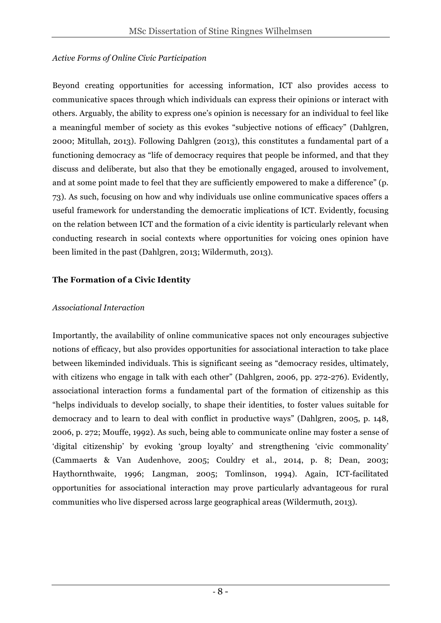#### *Active Forms of Online Civic Participation*

Beyond creating opportunities for accessing information, ICT also provides access to communicative spaces through which individuals can express their opinions or interact with others. Arguably, the ability to express one's opinion is necessary for an individual to feel like a meaningful member of society as this evokes "subjective notions of efficacy" (Dahlgren, 2000; Mitullah, 2013). Following Dahlgren (2013), this constitutes a fundamental part of a functioning democracy as "life of democracy requires that people be informed, and that they discuss and deliberate, but also that they be emotionally engaged, aroused to involvement, and at some point made to feel that they are sufficiently empowered to make a difference" (p. 73). As such, focusing on how and why individuals use online communicative spaces offers a useful framework for understanding the democratic implications of ICT. Evidently, focusing on the relation between ICT and the formation of a civic identity is particularly relevant when conducting research in social contexts where opportunities for voicing ones opinion have been limited in the past (Dahlgren, 2013; Wildermuth, 2013).

## **The Formation of a Civic Identity**

## *Associational Interaction*

Importantly, the availability of online communicative spaces not only encourages subjective notions of efficacy, but also provides opportunities for associational interaction to take place between likeminded individuals. This is significant seeing as "democracy resides, ultimately, with citizens who engage in talk with each other" (Dahlgren, 2006, pp. 272-276). Evidently, associational interaction forms a fundamental part of the formation of citizenship as this "helps individuals to develop socially, to shape their identities, to foster values suitable for democracy and to learn to deal with conflict in productive ways" (Dahlgren, 2005, p. 148, 2006, p. 272; Mouffe, 1992). As such, being able to communicate online may foster a sense of 'digital citizenship' by evoking 'group loyalty' and strengthening 'civic commonality' (Cammaerts & Van Audenhove, 2005; Couldry et al., 2014, p. 8; Dean, 2003; Haythornthwaite, 1996; Langman, 2005; Tomlinson, 1994). Again, ICT-facilitated opportunities for associational interaction may prove particularly advantageous for rural communities who live dispersed across large geographical areas (Wildermuth, 2013).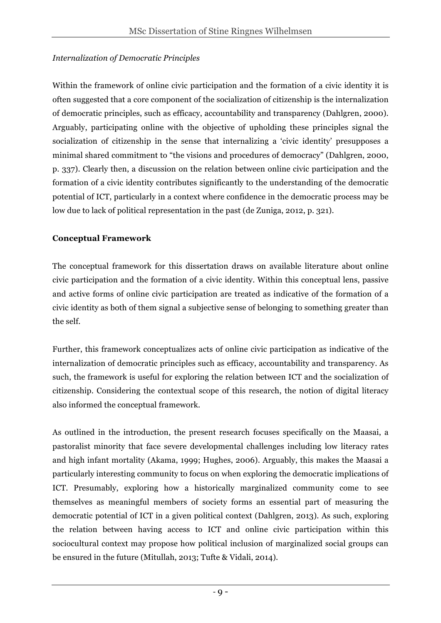#### *Internalization of Democratic Principles*

Within the framework of online civic participation and the formation of a civic identity it is often suggested that a core component of the socialization of citizenship is the internalization of democratic principles, such as efficacy, accountability and transparency (Dahlgren, 2000). Arguably, participating online with the objective of upholding these principles signal the socialization of citizenship in the sense that internalizing a 'civic identity' presupposes a minimal shared commitment to "the visions and procedures of democracy" (Dahlgren, 2000, p. 337). Clearly then, a discussion on the relation between online civic participation and the formation of a civic identity contributes significantly to the understanding of the democratic potential of ICT, particularly in a context where confidence in the democratic process may be low due to lack of political representation in the past (de Zuniga, 2012, p. 321).

## **Conceptual Framework**

The conceptual framework for this dissertation draws on available literature about online civic participation and the formation of a civic identity. Within this conceptual lens, passive and active forms of online civic participation are treated as indicative of the formation of a civic identity as both of them signal a subjective sense of belonging to something greater than the self.

Further, this framework conceptualizes acts of online civic participation as indicative of the internalization of democratic principles such as efficacy, accountability and transparency. As such, the framework is useful for exploring the relation between ICT and the socialization of citizenship. Considering the contextual scope of this research, the notion of digital literacy also informed the conceptual framework.

As outlined in the introduction, the present research focuses specifically on the Maasai, a pastoralist minority that face severe developmental challenges including low literacy rates and high infant mortality (Akama, 1999; Hughes, 2006). Arguably, this makes the Maasai a particularly interesting community to focus on when exploring the democratic implications of ICT. Presumably, exploring how a historically marginalized community come to see themselves as meaningful members of society forms an essential part of measuring the democratic potential of ICT in a given political context (Dahlgren, 2013). As such, exploring the relation between having access to ICT and online civic participation within this sociocultural context may propose how political inclusion of marginalized social groups can be ensured in the future (Mitullah, 2013; Tufte & Vidali, 2014).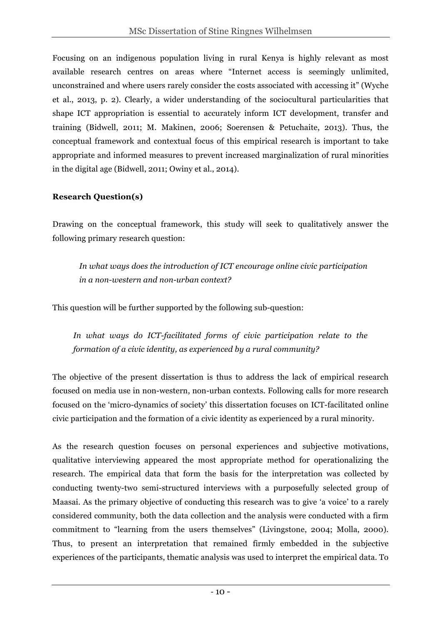Focusing on an indigenous population living in rural Kenya is highly relevant as most available research centres on areas where "Internet access is seemingly unlimited, unconstrained and where users rarely consider the costs associated with accessing it" (Wyche et al., 2013, p. 2). Clearly, a wider understanding of the sociocultural particularities that shape ICT appropriation is essential to accurately inform ICT development, transfer and training (Bidwell, 2011; M. Makinen, 2006; Soerensen & Petuchaite, 2013). Thus, the conceptual framework and contextual focus of this empirical research is important to take appropriate and informed measures to prevent increased marginalization of rural minorities in the digital age (Bidwell, 2011; Owiny et al., 2014).

#### **Research Question(s)**

Drawing on the conceptual framework, this study will seek to qualitatively answer the following primary research question:

*In what ways does the introduction of ICT encourage online civic participation in a non-western and non-urban context?* 

This question will be further supported by the following sub-question:

*In what ways do ICT-facilitated forms of civic participation relate to the formation of a civic identity, as experienced by a rural community?*

The objective of the present dissertation is thus to address the lack of empirical research focused on media use in non-western, non-urban contexts. Following calls for more research focused on the 'micro-dynamics of society' this dissertation focuses on ICT-facilitated online civic participation and the formation of a civic identity as experienced by a rural minority.

As the research question focuses on personal experiences and subjective motivations, qualitative interviewing appeared the most appropriate method for operationalizing the research. The empirical data that form the basis for the interpretation was collected by conducting twenty-two semi-structured interviews with a purposefully selected group of Maasai. As the primary objective of conducting this research was to give 'a voice' to a rarely considered community, both the data collection and the analysis were conducted with a firm commitment to "learning from the users themselves" (Livingstone, 2004; Molla, 2000). Thus, to present an interpretation that remained firmly embedded in the subjective experiences of the participants, thematic analysis was used to interpret the empirical data. To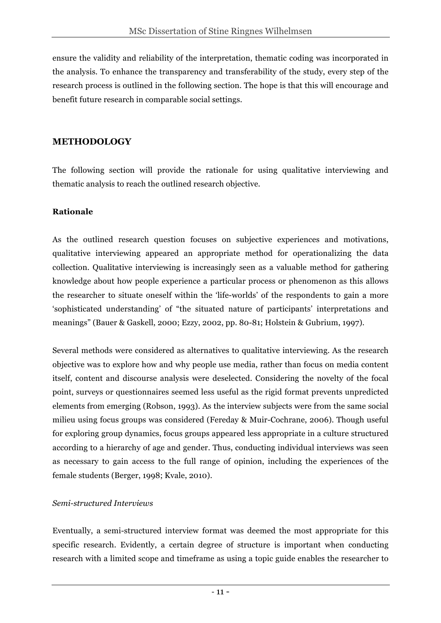ensure the validity and reliability of the interpretation, thematic coding was incorporated in the analysis. To enhance the transparency and transferability of the study, every step of the research process is outlined in the following section. The hope is that this will encourage and benefit future research in comparable social settings.

## **METHODOLOGY**

The following section will provide the rationale for using qualitative interviewing and thematic analysis to reach the outlined research objective.

## **Rationale**

As the outlined research question focuses on subjective experiences and motivations, qualitative interviewing appeared an appropriate method for operationalizing the data collection. Qualitative interviewing is increasingly seen as a valuable method for gathering knowledge about how people experience a particular process or phenomenon as this allows the researcher to situate oneself within the 'life-worlds' of the respondents to gain a more 'sophisticated understanding' of "the situated nature of participants' interpretations and meanings" (Bauer & Gaskell, 2000; Ezzy, 2002, pp. 80-81; Holstein & Gubrium, 1997).

Several methods were considered as alternatives to qualitative interviewing. As the research objective was to explore how and why people use media, rather than focus on media content itself, content and discourse analysis were deselected. Considering the novelty of the focal point, surveys or questionnaires seemed less useful as the rigid format prevents unpredicted elements from emerging (Robson, 1993). As the interview subjects were from the same social milieu using focus groups was considered (Fereday & Muir-Cochrane, 2006). Though useful for exploring group dynamics, focus groups appeared less appropriate in a culture structured according to a hierarchy of age and gender. Thus, conducting individual interviews was seen as necessary to gain access to the full range of opinion, including the experiences of the female students (Berger, 1998; Kvale, 2010).

## *Semi-structured Interviews*

Eventually, a semi-structured interview format was deemed the most appropriate for this specific research. Evidently, a certain degree of structure is important when conducting research with a limited scope and timeframe as using a topic guide enables the researcher to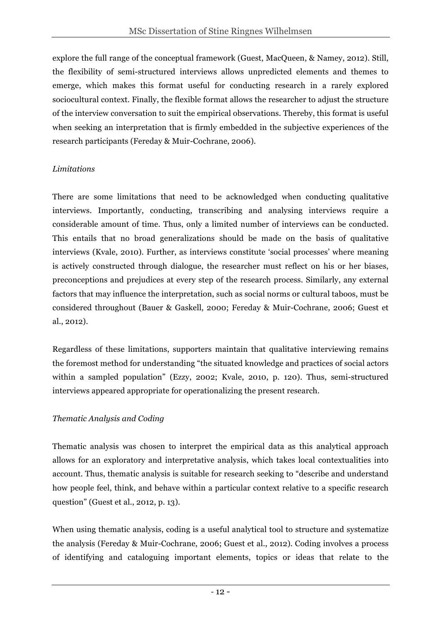explore the full range of the conceptual framework (Guest, MacQueen, & Namey, 2012). Still, the flexibility of semi-structured interviews allows unpredicted elements and themes to emerge, which makes this format useful for conducting research in a rarely explored sociocultural context. Finally, the flexible format allows the researcher to adjust the structure of the interview conversation to suit the empirical observations. Thereby, this format is useful when seeking an interpretation that is firmly embedded in the subjective experiences of the research participants (Fereday & Muir-Cochrane, 2006).

## *Limitations*

There are some limitations that need to be acknowledged when conducting qualitative interviews. Importantly, conducting, transcribing and analysing interviews require a considerable amount of time. Thus, only a limited number of interviews can be conducted. This entails that no broad generalizations should be made on the basis of qualitative interviews (Kvale, 2010). Further, as interviews constitute 'social processes' where meaning is actively constructed through dialogue, the researcher must reflect on his or her biases, preconceptions and prejudices at every step of the research process. Similarly, any external factors that may influence the interpretation, such as social norms or cultural taboos, must be considered throughout (Bauer & Gaskell, 2000; Fereday & Muir-Cochrane, 2006; Guest et al., 2012).

Regardless of these limitations, supporters maintain that qualitative interviewing remains the foremost method for understanding "the situated knowledge and practices of social actors within a sampled population" (Ezzy, 2002; Kvale, 2010, p. 120). Thus, semi-structured interviews appeared appropriate for operationalizing the present research.

## *Thematic Analysis and Coding*

Thematic analysis was chosen to interpret the empirical data as this analytical approach allows for an exploratory and interpretative analysis, which takes local contextualities into account. Thus, thematic analysis is suitable for research seeking to "describe and understand how people feel, think, and behave within a particular context relative to a specific research question" (Guest et al., 2012, p. 13).

When using thematic analysis, coding is a useful analytical tool to structure and systematize the analysis (Fereday & Muir-Cochrane, 2006; Guest et al., 2012). Coding involves a process of identifying and cataloguing important elements, topics or ideas that relate to the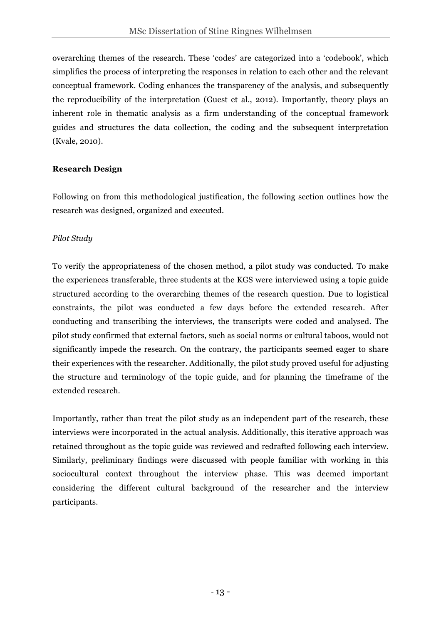overarching themes of the research. These 'codes' are categorized into a 'codebook', which simplifies the process of interpreting the responses in relation to each other and the relevant conceptual framework. Coding enhances the transparency of the analysis, and subsequently the reproducibility of the interpretation (Guest et al., 2012). Importantly, theory plays an inherent role in thematic analysis as a firm understanding of the conceptual framework guides and structures the data collection, the coding and the subsequent interpretation (Kvale, 2010).

## **Research Design**

Following on from this methodological justification, the following section outlines how the research was designed, organized and executed.

## *Pilot Study*

To verify the appropriateness of the chosen method, a pilot study was conducted. To make the experiences transferable, three students at the KGS were interviewed using a topic guide structured according to the overarching themes of the research question. Due to logistical constraints, the pilot was conducted a few days before the extended research. After conducting and transcribing the interviews, the transcripts were coded and analysed. The pilot study confirmed that external factors, such as social norms or cultural taboos, would not significantly impede the research. On the contrary, the participants seemed eager to share their experiences with the researcher. Additionally, the pilot study proved useful for adjusting the structure and terminology of the topic guide, and for planning the timeframe of the extended research.

Importantly, rather than treat the pilot study as an independent part of the research, these interviews were incorporated in the actual analysis. Additionally, this iterative approach was retained throughout as the topic guide was reviewed and redrafted following each interview. Similarly, preliminary findings were discussed with people familiar with working in this sociocultural context throughout the interview phase. This was deemed important considering the different cultural background of the researcher and the interview participants.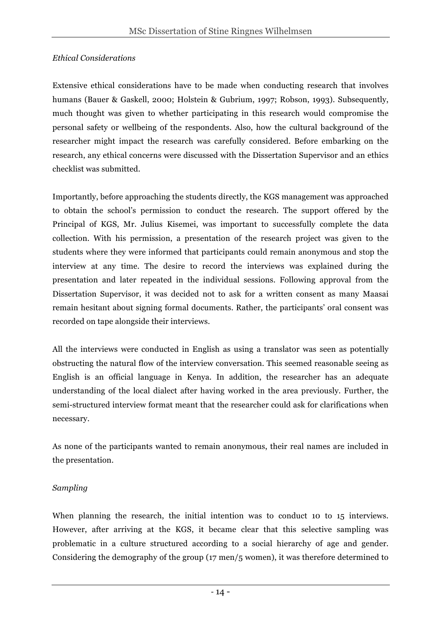#### *Ethical Considerations*

Extensive ethical considerations have to be made when conducting research that involves humans (Bauer & Gaskell, 2000; Holstein & Gubrium, 1997; Robson, 1993). Subsequently, much thought was given to whether participating in this research would compromise the personal safety or wellbeing of the respondents. Also, how the cultural background of the researcher might impact the research was carefully considered. Before embarking on the research, any ethical concerns were discussed with the Dissertation Supervisor and an ethics checklist was submitted.

Importantly, before approaching the students directly, the KGS management was approached to obtain the school's permission to conduct the research. The support offered by the Principal of KGS, Mr. Julius Kisemei, was important to successfully complete the data collection. With his permission, a presentation of the research project was given to the students where they were informed that participants could remain anonymous and stop the interview at any time. The desire to record the interviews was explained during the presentation and later repeated in the individual sessions. Following approval from the Dissertation Supervisor, it was decided not to ask for a written consent as many Maasai remain hesitant about signing formal documents. Rather, the participants' oral consent was recorded on tape alongside their interviews.

All the interviews were conducted in English as using a translator was seen as potentially obstructing the natural flow of the interview conversation. This seemed reasonable seeing as English is an official language in Kenya. In addition, the researcher has an adequate understanding of the local dialect after having worked in the area previously. Further, the semi-structured interview format meant that the researcher could ask for clarifications when necessary.

As none of the participants wanted to remain anonymous, their real names are included in the presentation.

## *Sampling*

When planning the research, the initial intention was to conduct 10 to 15 interviews. However, after arriving at the KGS, it became clear that this selective sampling was problematic in a culture structured according to a social hierarchy of age and gender. Considering the demography of the group (17 men/5 women), it was therefore determined to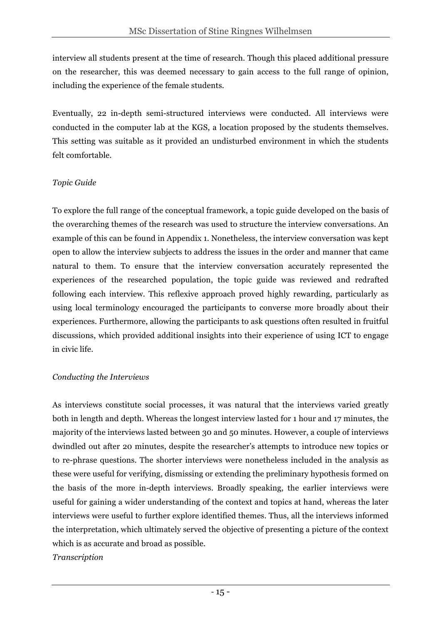interview all students present at the time of research. Though this placed additional pressure on the researcher, this was deemed necessary to gain access to the full range of opinion, including the experience of the female students.

Eventually, 22 in-depth semi-structured interviews were conducted. All interviews were conducted in the computer lab at the KGS, a location proposed by the students themselves. This setting was suitable as it provided an undisturbed environment in which the students felt comfortable.

## *Topic Guide*

To explore the full range of the conceptual framework, a topic guide developed on the basis of the overarching themes of the research was used to structure the interview conversations. An example of this can be found in Appendix 1. Nonetheless, the interview conversation was kept open to allow the interview subjects to address the issues in the order and manner that came natural to them. To ensure that the interview conversation accurately represented the experiences of the researched population, the topic guide was reviewed and redrafted following each interview. This reflexive approach proved highly rewarding, particularly as using local terminology encouraged the participants to converse more broadly about their experiences. Furthermore, allowing the participants to ask questions often resulted in fruitful discussions, which provided additional insights into their experience of using ICT to engage in civic life.

## *Conducting the Interviews*

As interviews constitute social processes, it was natural that the interviews varied greatly both in length and depth. Whereas the longest interview lasted for 1 hour and 17 minutes, the majority of the interviews lasted between 30 and 50 minutes. However, a couple of interviews dwindled out after 20 minutes, despite the researcher's attempts to introduce new topics or to re-phrase questions. The shorter interviews were nonetheless included in the analysis as these were useful for verifying, dismissing or extending the preliminary hypothesis formed on the basis of the more in-depth interviews. Broadly speaking, the earlier interviews were useful for gaining a wider understanding of the context and topics at hand, whereas the later interviews were useful to further explore identified themes. Thus, all the interviews informed the interpretation, which ultimately served the objective of presenting a picture of the context which is as accurate and broad as possible.

#### *Transcription*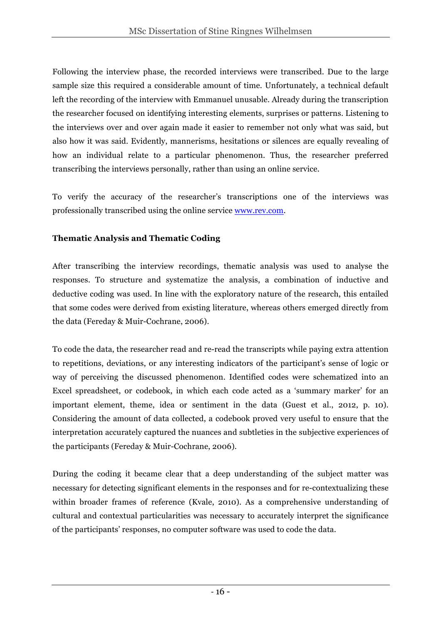Following the interview phase, the recorded interviews were transcribed. Due to the large sample size this required a considerable amount of time. Unfortunately, a technical default left the recording of the interview with Emmanuel unusable. Already during the transcription the researcher focused on identifying interesting elements, surprises or patterns. Listening to the interviews over and over again made it easier to remember not only what was said, but also how it was said. Evidently, mannerisms, hesitations or silences are equally revealing of how an individual relate to a particular phenomenon. Thus, the researcher preferred transcribing the interviews personally, rather than using an online service.

To verify the accuracy of the researcher's transcriptions one of the interviews was professionally transcribed using the online service www.rev.com.

## **Thematic Analysis and Thematic Coding**

After transcribing the interview recordings, thematic analysis was used to analyse the responses. To structure and systematize the analysis, a combination of inductive and deductive coding was used. In line with the exploratory nature of the research, this entailed that some codes were derived from existing literature, whereas others emerged directly from the data (Fereday & Muir-Cochrane, 2006).

To code the data, the researcher read and re-read the transcripts while paying extra attention to repetitions, deviations, or any interesting indicators of the participant's sense of logic or way of perceiving the discussed phenomenon. Identified codes were schematized into an Excel spreadsheet, or codebook, in which each code acted as a 'summary marker' for an important element, theme, idea or sentiment in the data (Guest et al., 2012, p. 10). Considering the amount of data collected, a codebook proved very useful to ensure that the interpretation accurately captured the nuances and subtleties in the subjective experiences of the participants (Fereday & Muir-Cochrane, 2006).

During the coding it became clear that a deep understanding of the subject matter was necessary for detecting significant elements in the responses and for re-contextualizing these within broader frames of reference (Kvale, 2010). As a comprehensive understanding of cultural and contextual particularities was necessary to accurately interpret the significance of the participants' responses, no computer software was used to code the data.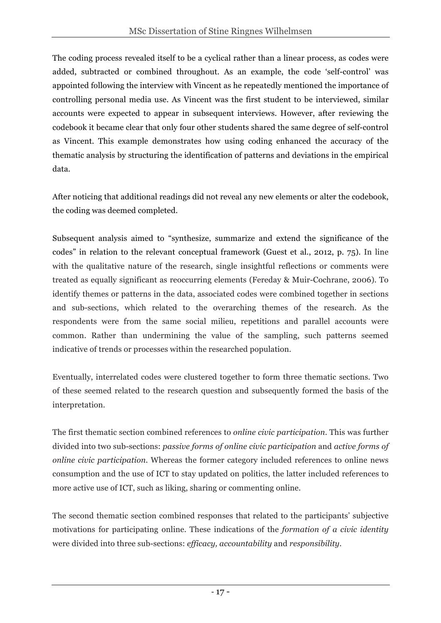The coding process revealed itself to be a cyclical rather than a linear process, as codes were added, subtracted or combined throughout. As an example, the code 'self-control' was appointed following the interview with Vincent as he repeatedly mentioned the importance of controlling personal media use. As Vincent was the first student to be interviewed, similar accounts were expected to appear in subsequent interviews. However, after reviewing the codebook it became clear that only four other students shared the same degree of self-control as Vincent. This example demonstrates how using coding enhanced the accuracy of the thematic analysis by structuring the identification of patterns and deviations in the empirical data.

After noticing that additional readings did not reveal any new elements or alter the codebook, the coding was deemed completed.

Subsequent analysis aimed to "synthesize, summarize and extend the significance of the codes" in relation to the relevant conceptual framework (Guest et al., 2012, p. 75). In line with the qualitative nature of the research, single insightful reflections or comments were treated as equally significant as reoccurring elements (Fereday & Muir-Cochrane, 2006). To identify themes or patterns in the data, associated codes were combined together in sections and sub-sections, which related to the overarching themes of the research. As the respondents were from the same social milieu, repetitions and parallel accounts were common. Rather than undermining the value of the sampling, such patterns seemed indicative of trends or processes within the researched population.

Eventually, interrelated codes were clustered together to form three thematic sections. Two of these seemed related to the research question and subsequently formed the basis of the interpretation.

The first thematic section combined references to *online civic participation*. This was further divided into two sub-sections: *passive forms of online civic participation* and *active forms of online civic participation.* Whereas the former category included references to online news consumption and the use of ICT to stay updated on politics, the latter included references to more active use of ICT, such as liking, sharing or commenting online.

The second thematic section combined responses that related to the participants' subjective motivations for participating online. These indications of the *formation of a civic identity* were divided into three sub-sections: *efficacy, accountability* and *responsibility.*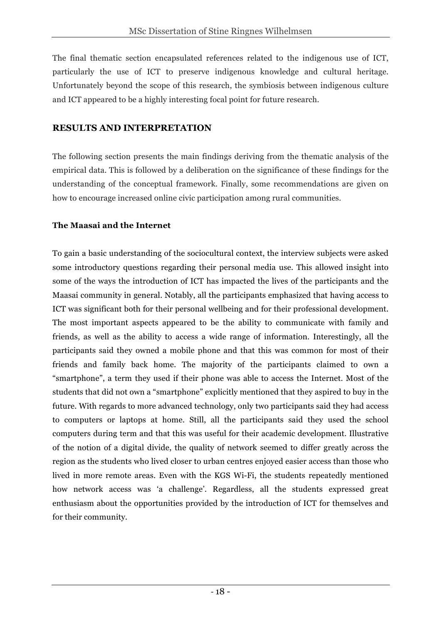The final thematic section encapsulated references related to the indigenous use of ICT, particularly the use of ICT to preserve indigenous knowledge and cultural heritage. Unfortunately beyond the scope of this research, the symbiosis between indigenous culture and ICT appeared to be a highly interesting focal point for future research.

## **RESULTS AND INTERPRETATION**

The following section presents the main findings deriving from the thematic analysis of the empirical data. This is followed by a deliberation on the significance of these findings for the understanding of the conceptual framework. Finally, some recommendations are given on how to encourage increased online civic participation among rural communities.

## **The Maasai and the Internet**

To gain a basic understanding of the sociocultural context, the interview subjects were asked some introductory questions regarding their personal media use. This allowed insight into some of the ways the introduction of ICT has impacted the lives of the participants and the Maasai community in general. Notably, all the participants emphasized that having access to ICT was significant both for their personal wellbeing and for their professional development. The most important aspects appeared to be the ability to communicate with family and friends, as well as the ability to access a wide range of information. Interestingly, all the participants said they owned a mobile phone and that this was common for most of their friends and family back home. The majority of the participants claimed to own a "smartphone", a term they used if their phone was able to access the Internet. Most of the students that did not own a "smartphone" explicitly mentioned that they aspired to buy in the future. With regards to more advanced technology, only two participants said they had access to computers or laptops at home. Still, all the participants said they used the school computers during term and that this was useful for their academic development. Illustrative of the notion of a digital divide, the quality of network seemed to differ greatly across the region as the students who lived closer to urban centres enjoyed easier access than those who lived in more remote areas. Even with the KGS Wi-Fi, the students repeatedly mentioned how network access was 'a challenge'. Regardless, all the students expressed great enthusiasm about the opportunities provided by the introduction of ICT for themselves and for their community.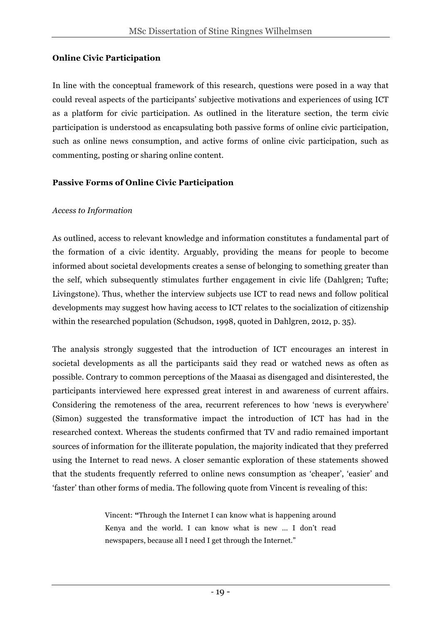#### **Online Civic Participation**

In line with the conceptual framework of this research, questions were posed in a way that could reveal aspects of the participants' subjective motivations and experiences of using ICT as a platform for civic participation. As outlined in the literature section, the term civic participation is understood as encapsulating both passive forms of online civic participation, such as online news consumption, and active forms of online civic participation, such as commenting, posting or sharing online content.

#### **Passive Forms of Online Civic Participation**

#### *Access to Information*

As outlined, access to relevant knowledge and information constitutes a fundamental part of the formation of a civic identity. Arguably, providing the means for people to become informed about societal developments creates a sense of belonging to something greater than the self, which subsequently stimulates further engagement in civic life (Dahlgren; Tufte; Livingstone). Thus, whether the interview subjects use ICT to read news and follow political developments may suggest how having access to ICT relates to the socialization of citizenship within the researched population (Schudson, 1998, quoted in Dahlgren, 2012, p. 35).

The analysis strongly suggested that the introduction of ICT encourages an interest in societal developments as all the participants said they read or watched news as often as possible. Contrary to common perceptions of the Maasai as disengaged and disinterested, the participants interviewed here expressed great interest in and awareness of current affairs. Considering the remoteness of the area, recurrent references to how 'news is everywhere' (Simon) suggested the transformative impact the introduction of ICT has had in the researched context. Whereas the students confirmed that TV and radio remained important sources of information for the illiterate population, the majority indicated that they preferred using the Internet to read news. A closer semantic exploration of these statements showed that the students frequently referred to online news consumption as 'cheaper', 'easier' and 'faster' than other forms of media. The following quote from Vincent is revealing of this:

> Vincent: **"**Through the Internet I can know what is happening around Kenya and the world. I can know what is new … I don't read newspapers, because all I need I get through the Internet."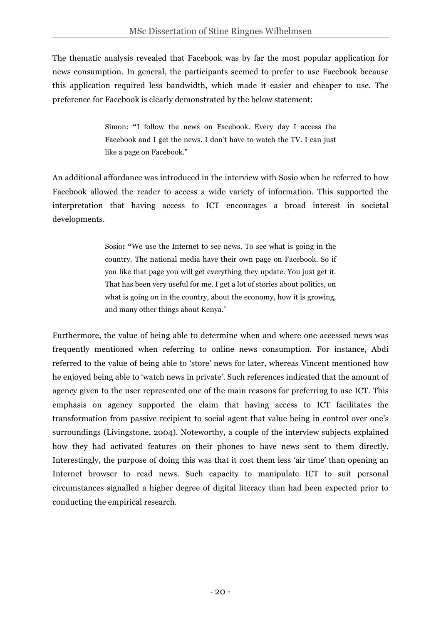The thematic analysis revealed that Facebook was by far the most popular application for news consumption. In general, the participants seemed to prefer to use Facebook because this application required less bandwidth, which made it easier and cheaper to use. The preference for Facebook is clearly demonstrated by the below statement:

> Simon: **"**I follow the news on Facebook. Every day I access the Facebook and I get the news. I don't have to watch the TV. I can just like a page on Facebook."

An additional affordance was introduced in the interview with Sosio when he referred to how Facebook allowed the reader to access a wide variety of information. This supported the interpretation that having access to ICT encourages a broad interest in societal developments.

> Sosio**: "**We use the Internet to see news. To see what is going in the country. The national media have their own page on Facebook. So if you like that page you will get everything they update. You just get it. That has been very useful for me. I get a lot of stories about politics, on what is going on in the country, about the economy, how it is growing, and many other things about Kenya."

Furthermore, the value of being able to determine when and where one accessed news was frequently mentioned when referring to online news consumption. For instance, Abdi referred to the value of being able to 'store' news for later, whereas Vincent mentioned how he enjoyed being able to 'watch news in private'. Such references indicated that the amount of agency given to the user represented one of the main reasons for preferring to use ICT. This emphasis on agency supported the claim that having access to ICT facilitates the transformation from passive recipient to social agent that value being in control over one's surroundings (Livingstone, 2004). Noteworthy, a couple of the interview subjects explained how they had activated features on their phones to have news sent to them directly. Interestingly, the purpose of doing this was that it cost them less 'air time' than opening an Internet browser to read news. Such capacity to manipulate ICT to suit personal circumstances signalled a higher degree of digital literacy than had been expected prior to conducting the empirical research.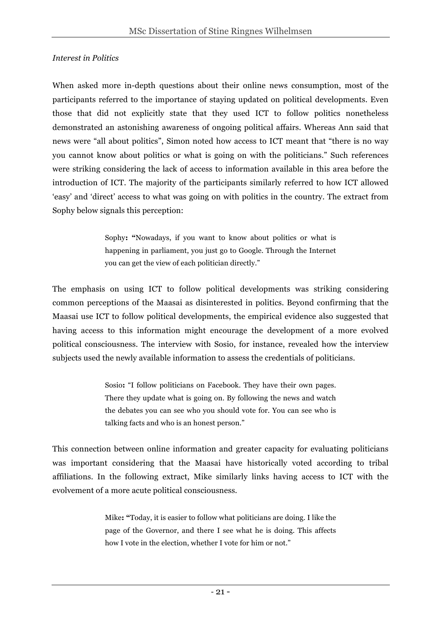#### *Interest in Politics*

When asked more in-depth questions about their online news consumption, most of the participants referred to the importance of staying updated on political developments. Even those that did not explicitly state that they used ICT to follow politics nonetheless demonstrated an astonishing awareness of ongoing political affairs. Whereas Ann said that news were "all about politics", Simon noted how access to ICT meant that "there is no way you cannot know about politics or what is going on with the politicians." Such references were striking considering the lack of access to information available in this area before the introduction of ICT. The majority of the participants similarly referred to how ICT allowed 'easy' and 'direct' access to what was going on with politics in the country. The extract from Sophy below signals this perception:

> Sophy**: "**Nowadays, if you want to know about politics or what is happening in parliament, you just go to Google. Through the Internet you can get the view of each politician directly."

The emphasis on using ICT to follow political developments was striking considering common perceptions of the Maasai as disinterested in politics. Beyond confirming that the Maasai use ICT to follow political developments, the empirical evidence also suggested that having access to this information might encourage the development of a more evolved political consciousness. The interview with Sosio, for instance, revealed how the interview subjects used the newly available information to assess the credentials of politicians.

> Sosio**:** "I follow politicians on Facebook. They have their own pages. There they update what is going on. By following the news and watch the debates you can see who you should vote for. You can see who is talking facts and who is an honest person."

This connection between online information and greater capacity for evaluating politicians was important considering that the Maasai have historically voted according to tribal affiliations. In the following extract, Mike similarly links having access to ICT with the evolvement of a more acute political consciousness.

> Mike**: "**Today, it is easier to follow what politicians are doing. I like the page of the Governor, and there I see what he is doing. This affects how I vote in the election, whether I vote for him or not."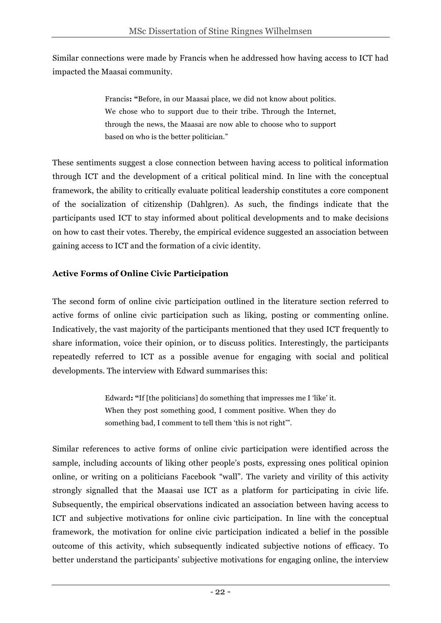Similar connections were made by Francis when he addressed how having access to ICT had impacted the Maasai community.

> Francis**: "**Before, in our Maasai place, we did not know about politics. We chose who to support due to their tribe. Through the Internet, through the news, the Maasai are now able to choose who to support based on who is the better politician."

These sentiments suggest a close connection between having access to political information through ICT and the development of a critical political mind. In line with the conceptual framework, the ability to critically evaluate political leadership constitutes a core component of the socialization of citizenship (Dahlgren). As such, the findings indicate that the participants used ICT to stay informed about political developments and to make decisions on how to cast their votes. Thereby, the empirical evidence suggested an association between gaining access to ICT and the formation of a civic identity.

## **Active Forms of Online Civic Participation**

The second form of online civic participation outlined in the literature section referred to active forms of online civic participation such as liking, posting or commenting online. Indicatively, the vast majority of the participants mentioned that they used ICT frequently to share information, voice their opinion, or to discuss politics. Interestingly, the participants repeatedly referred to ICT as a possible avenue for engaging with social and political developments. The interview with Edward summarises this:

> Edward**: "**If [the politicians] do something that impresses me I 'like' it. When they post something good, I comment positive. When they do something bad, I comment to tell them 'this is not right'".

Similar references to active forms of online civic participation were identified across the sample, including accounts of liking other people's posts, expressing ones political opinion online, or writing on a politicians Facebook "wall". The variety and virility of this activity strongly signalled that the Maasai use ICT as a platform for participating in civic life. Subsequently, the empirical observations indicated an association between having access to ICT and subjective motivations for online civic participation. In line with the conceptual framework, the motivation for online civic participation indicated a belief in the possible outcome of this activity, which subsequently indicated subjective notions of efficacy. To better understand the participants' subjective motivations for engaging online, the interview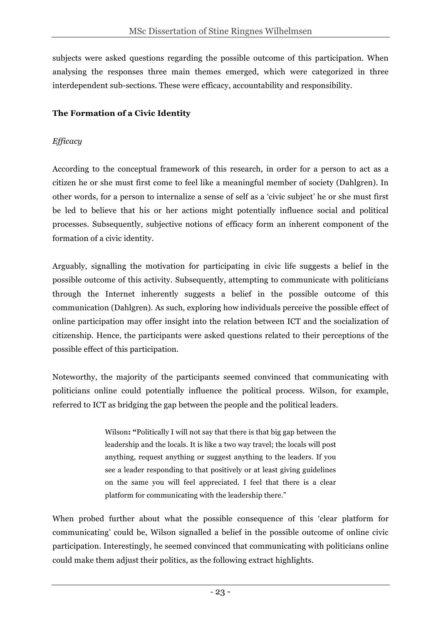subjects were asked questions regarding the possible outcome of this participation. When analysing the responses three main themes emerged, which were categorized in three interdependent sub-sections. These were efficacy, accountability and responsibility.

## **The Formation of a Civic Identity**

## *Efficacy*

According to the conceptual framework of this research, in order for a person to act as a citizen he or she must first come to feel like a meaningful member of society (Dahlgren). In other words, for a person to internalize a sense of self as a 'civic subject' he or she must first be led to believe that his or her actions might potentially influence social and political processes. Subsequently, subjective notions of efficacy form an inherent component of the formation of a civic identity.

Arguably, signalling the motivation for participating in civic life suggests a belief in the possible outcome of this activity. Subsequently, attempting to communicate with politicians through the Internet inherently suggests a belief in the possible outcome of this communication (Dahlgren). As such, exploring how individuals perceive the possible effect of online participation may offer insight into the relation between ICT and the socialization of citizenship. Hence, the participants were asked questions related to their perceptions of the possible effect of this participation.

Noteworthy, the majority of the participants seemed convinced that communicating with politicians online could potentially influence the political process. Wilson, for example, referred to ICT as bridging the gap between the people and the political leaders.

> Wilson**: "**Politically I will not say that there is that big gap between the leadership and the locals. It is like a two way travel; the locals will post anything, request anything or suggest anything to the leaders. If you see a leader responding to that positively or at least giving guidelines on the same you will feel appreciated. I feel that there is a clear platform for communicating with the leadership there."

When probed further about what the possible consequence of this 'clear platform for communicating' could be, Wilson signalled a belief in the possible outcome of online civic participation. Interestingly, he seemed convinced that communicating with politicians online could make them adjust their politics, as the following extract highlights.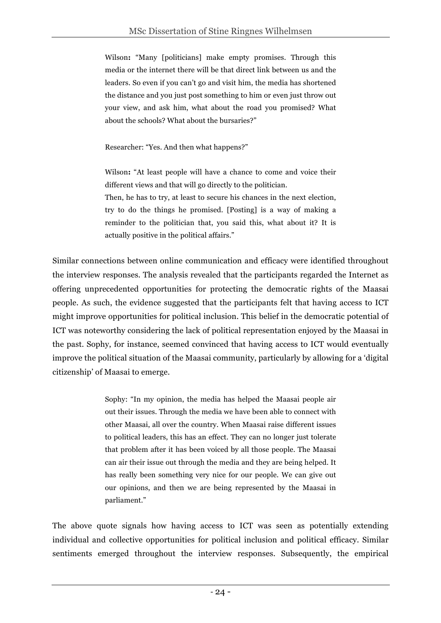Wilson**:** "Many [politicians] make empty promises. Through this media or the internet there will be that direct link between us and the leaders. So even if you can't go and visit him, the media has shortened the distance and you just post something to him or even just throw out your view, and ask him, what about the road you promised? What about the schools? What about the bursaries?"

Researcher: "Yes. And then what happens?"

Wilson**:** "At least people will have a chance to come and voice their different views and that will go directly to the politician. Then, he has to try, at least to secure his chances in the next election, try to do the things he promised. [Posting] is a way of making a reminder to the politician that, you said this, what about it? It is actually positive in the political affairs."

Similar connections between online communication and efficacy were identified throughout the interview responses. The analysis revealed that the participants regarded the Internet as offering unprecedented opportunities for protecting the democratic rights of the Maasai people. As such, the evidence suggested that the participants felt that having access to ICT might improve opportunities for political inclusion. This belief in the democratic potential of ICT was noteworthy considering the lack of political representation enjoyed by the Maasai in the past. Sophy, for instance, seemed convinced that having access to ICT would eventually improve the political situation of the Maasai community, particularly by allowing for a 'digital citizenship' of Maasai to emerge.

> Sophy: "In my opinion, the media has helped the Maasai people air out their issues. Through the media we have been able to connect with other Maasai, all over the country. When Maasai raise different issues to political leaders, this has an effect. They can no longer just tolerate that problem after it has been voiced by all those people. The Maasai can air their issue out through the media and they are being helped. It has really been something very nice for our people. We can give out our opinions, and then we are being represented by the Maasai in parliament."

The above quote signals how having access to ICT was seen as potentially extending individual and collective opportunities for political inclusion and political efficacy. Similar sentiments emerged throughout the interview responses. Subsequently, the empirical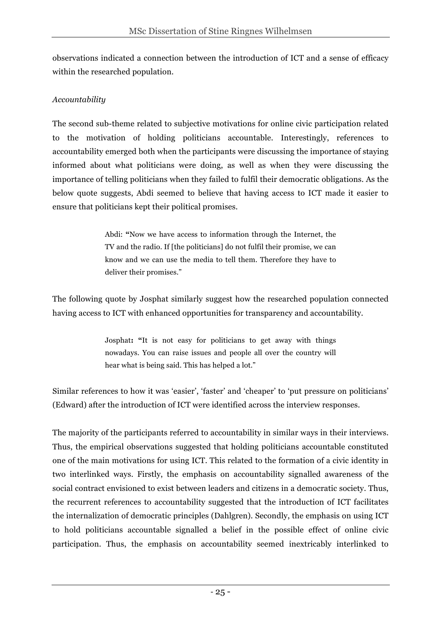observations indicated a connection between the introduction of ICT and a sense of efficacy within the researched population.

#### *Accountability*

The second sub-theme related to subjective motivations for online civic participation related to the motivation of holding politicians accountable. Interestingly, references to accountability emerged both when the participants were discussing the importance of staying informed about what politicians were doing, as well as when they were discussing the importance of telling politicians when they failed to fulfil their democratic obligations. As the below quote suggests, Abdi seemed to believe that having access to ICT made it easier to ensure that politicians kept their political promises.

> Abdi: **"**Now we have access to information through the Internet, the TV and the radio. If [the politicians] do not fulfil their promise, we can know and we can use the media to tell them. Therefore they have to deliver their promises."

The following quote by Josphat similarly suggest how the researched population connected having access to ICT with enhanced opportunities for transparency and accountability.

> Josphat**: "**It is not easy for politicians to get away with things nowadays. You can raise issues and people all over the country will hear what is being said. This has helped a lot."

Similar references to how it was 'easier', 'faster' and 'cheaper' to 'put pressure on politicians' (Edward) after the introduction of ICT were identified across the interview responses.

The majority of the participants referred to accountability in similar ways in their interviews. Thus, the empirical observations suggested that holding politicians accountable constituted one of the main motivations for using ICT. This related to the formation of a civic identity in two interlinked ways. Firstly, the emphasis on accountability signalled awareness of the social contract envisioned to exist between leaders and citizens in a democratic society. Thus, the recurrent references to accountability suggested that the introduction of ICT facilitates the internalization of democratic principles (Dahlgren). Secondly, the emphasis on using ICT to hold politicians accountable signalled a belief in the possible effect of online civic participation. Thus, the emphasis on accountability seemed inextricably interlinked to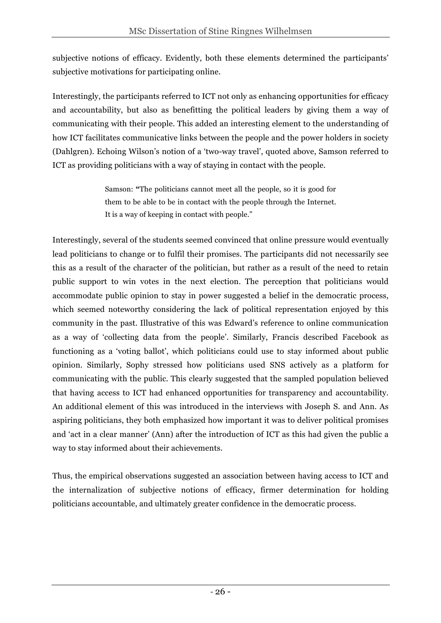subjective notions of efficacy. Evidently, both these elements determined the participants' subjective motivations for participating online.

Interestingly, the participants referred to ICT not only as enhancing opportunities for efficacy and accountability, but also as benefitting the political leaders by giving them a way of communicating with their people. This added an interesting element to the understanding of how ICT facilitates communicative links between the people and the power holders in society (Dahlgren). Echoing Wilson's notion of a 'two-way travel', quoted above, Samson referred to ICT as providing politicians with a way of staying in contact with the people.

> Samson: **"**The politicians cannot meet all the people, so it is good for them to be able to be in contact with the people through the Internet. It is a way of keeping in contact with people."

Interestingly, several of the students seemed convinced that online pressure would eventually lead politicians to change or to fulfil their promises. The participants did not necessarily see this as a result of the character of the politician, but rather as a result of the need to retain public support to win votes in the next election. The perception that politicians would accommodate public opinion to stay in power suggested a belief in the democratic process, which seemed noteworthy considering the lack of political representation enjoyed by this community in the past. Illustrative of this was Edward's reference to online communication as a way of 'collecting data from the people'. Similarly, Francis described Facebook as functioning as a 'voting ballot', which politicians could use to stay informed about public opinion. Similarly, Sophy stressed how politicians used SNS actively as a platform for communicating with the public. This clearly suggested that the sampled population believed that having access to ICT had enhanced opportunities for transparency and accountability. An additional element of this was introduced in the interviews with Joseph S. and Ann. As aspiring politicians, they both emphasized how important it was to deliver political promises and 'act in a clear manner' (Ann) after the introduction of ICT as this had given the public a way to stay informed about their achievements.

Thus, the empirical observations suggested an association between having access to ICT and the internalization of subjective notions of efficacy, firmer determination for holding politicians accountable, and ultimately greater confidence in the democratic process.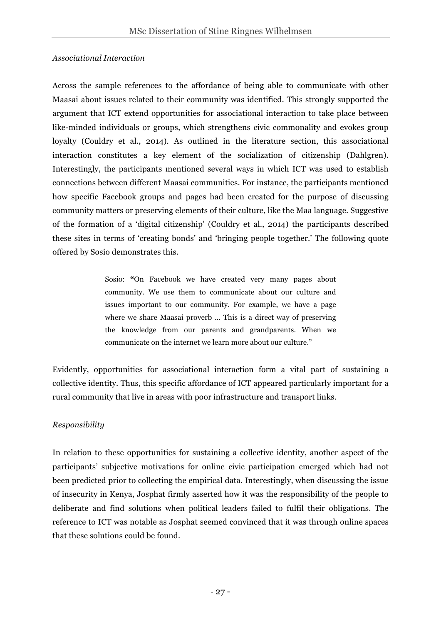#### *Associational Interaction*

Across the sample references to the affordance of being able to communicate with other Maasai about issues related to their community was identified. This strongly supported the argument that ICT extend opportunities for associational interaction to take place between like-minded individuals or groups, which strengthens civic commonality and evokes group loyalty (Couldry et al., 2014). As outlined in the literature section, this associational interaction constitutes a key element of the socialization of citizenship (Dahlgren). Interestingly, the participants mentioned several ways in which ICT was used to establish connections between different Maasai communities. For instance, the participants mentioned how specific Facebook groups and pages had been created for the purpose of discussing community matters or preserving elements of their culture, like the Maa language. Suggestive of the formation of a 'digital citizenship' (Couldry et al., 2014) the participants described these sites in terms of 'creating bonds' and 'bringing people together.' The following quote offered by Sosio demonstrates this.

> Sosio: **"**On Facebook we have created very many pages about community. We use them to communicate about our culture and issues important to our community. For example, we have a page where we share Maasai proverb ... This is a direct way of preserving the knowledge from our parents and grandparents. When we communicate on the internet we learn more about our culture."

Evidently, opportunities for associational interaction form a vital part of sustaining a collective identity. Thus, this specific affordance of ICT appeared particularly important for a rural community that live in areas with poor infrastructure and transport links.

## *Responsibility*

In relation to these opportunities for sustaining a collective identity, another aspect of the participants' subjective motivations for online civic participation emerged which had not been predicted prior to collecting the empirical data. Interestingly, when discussing the issue of insecurity in Kenya, Josphat firmly asserted how it was the responsibility of the people to deliberate and find solutions when political leaders failed to fulfil their obligations. The reference to ICT was notable as Josphat seemed convinced that it was through online spaces that these solutions could be found.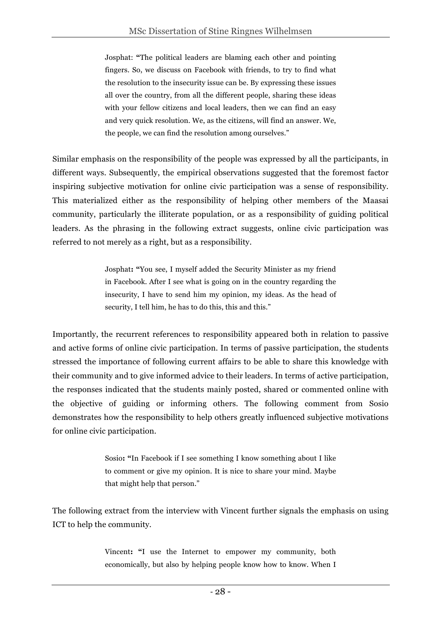Josphat: **"**The political leaders are blaming each other and pointing fingers. So, we discuss on Facebook with friends, to try to find what the resolution to the insecurity issue can be. By expressing these issues all over the country, from all the different people, sharing these ideas with your fellow citizens and local leaders, then we can find an easy and very quick resolution. We, as the citizens, will find an answer. We, the people, we can find the resolution among ourselves."

Similar emphasis on the responsibility of the people was expressed by all the participants, in different ways. Subsequently, the empirical observations suggested that the foremost factor inspiring subjective motivation for online civic participation was a sense of responsibility. This materialized either as the responsibility of helping other members of the Maasai community, particularly the illiterate population, or as a responsibility of guiding political leaders. As the phrasing in the following extract suggests, online civic participation was referred to not merely as a right, but as a responsibility.

> Josphat**: "**You see, I myself added the Security Minister as my friend in Facebook. After I see what is going on in the country regarding the insecurity, I have to send him my opinion, my ideas. As the head of security, I tell him, he has to do this, this and this."

Importantly, the recurrent references to responsibility appeared both in relation to passive and active forms of online civic participation. In terms of passive participation, the students stressed the importance of following current affairs to be able to share this knowledge with their community and to give informed advice to their leaders. In terms of active participation, the responses indicated that the students mainly posted, shared or commented online with the objective of guiding or informing others. The following comment from Sosio demonstrates how the responsibility to help others greatly influenced subjective motivations for online civic participation.

> Sosio**: "**In Facebook if I see something I know something about I like to comment or give my opinion. It is nice to share your mind. Maybe that might help that person."

The following extract from the interview with Vincent further signals the emphasis on using ICT to help the community.

> Vincent**: "**I use the Internet to empower my community, both economically, but also by helping people know how to know. When I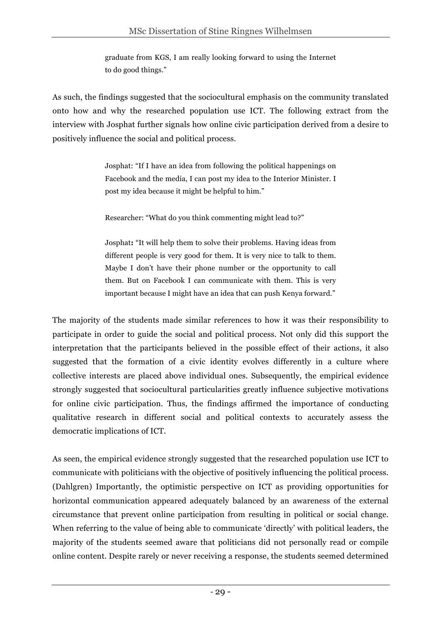graduate from KGS, I am really looking forward to using the Internet to do good things."

As such, the findings suggested that the sociocultural emphasis on the community translated onto how and why the researched population use ICT. The following extract from the interview with Josphat further signals how online civic participation derived from a desire to positively influence the social and political process.

> Josphat: "If I have an idea from following the political happenings on Facebook and the media, I can post my idea to the Interior Minister. I post my idea because it might be helpful to him."

Researcher: "What do you think commenting might lead to?"

Josphat**:** "It will help them to solve their problems. Having ideas from different people is very good for them. It is very nice to talk to them. Maybe I don't have their phone number or the opportunity to call them. But on Facebook I can communicate with them. This is very important because I might have an idea that can push Kenya forward."

The majority of the students made similar references to how it was their responsibility to participate in order to guide the social and political process. Not only did this support the interpretation that the participants believed in the possible effect of their actions, it also suggested that the formation of a civic identity evolves differently in a culture where collective interests are placed above individual ones. Subsequently, the empirical evidence strongly suggested that sociocultural particularities greatly influence subjective motivations for online civic participation. Thus, the findings affirmed the importance of conducting qualitative research in different social and political contexts to accurately assess the democratic implications of ICT.

As seen, the empirical evidence strongly suggested that the researched population use ICT to communicate with politicians with the objective of positively influencing the political process. (Dahlgren) Importantly, the optimistic perspective on ICT as providing opportunities for horizontal communication appeared adequately balanced by an awareness of the external circumstance that prevent online participation from resulting in political or social change. When referring to the value of being able to communicate 'directly' with political leaders, the majority of the students seemed aware that politicians did not personally read or compile online content. Despite rarely or never receiving a response, the students seemed determined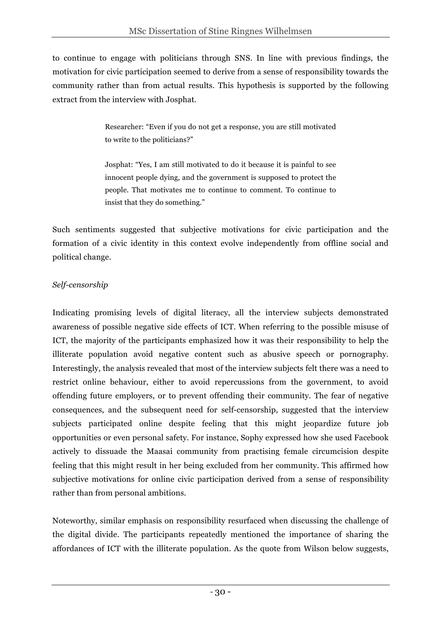to continue to engage with politicians through SNS. In line with previous findings, the motivation for civic participation seemed to derive from a sense of responsibility towards the community rather than from actual results. This hypothesis is supported by the following extract from the interview with Josphat.

> Researcher: "Even if you do not get a response, you are still motivated to write to the politicians?"

> Josphat: "Yes, I am still motivated to do it because it is painful to see innocent people dying, and the government is supposed to protect the people. That motivates me to continue to comment. To continue to insist that they do something."

Such sentiments suggested that subjective motivations for civic participation and the formation of a civic identity in this context evolve independently from offline social and political change.

## *Self-censorship*

Indicating promising levels of digital literacy, all the interview subjects demonstrated awareness of possible negative side effects of ICT. When referring to the possible misuse of ICT, the majority of the participants emphasized how it was their responsibility to help the illiterate population avoid negative content such as abusive speech or pornography. Interestingly, the analysis revealed that most of the interview subjects felt there was a need to restrict online behaviour, either to avoid repercussions from the government, to avoid offending future employers, or to prevent offending their community. The fear of negative consequences, and the subsequent need for self-censorship, suggested that the interview subjects participated online despite feeling that this might jeopardize future job opportunities or even personal safety. For instance, Sophy expressed how she used Facebook actively to dissuade the Maasai community from practising female circumcision despite feeling that this might result in her being excluded from her community. This affirmed how subjective motivations for online civic participation derived from a sense of responsibility rather than from personal ambitions.

Noteworthy, similar emphasis on responsibility resurfaced when discussing the challenge of the digital divide. The participants repeatedly mentioned the importance of sharing the affordances of ICT with the illiterate population. As the quote from Wilson below suggests,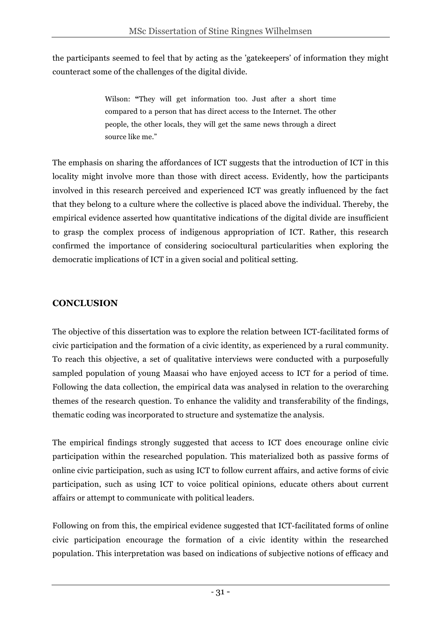the participants seemed to feel that by acting as the 'gatekeepers' of information they might counteract some of the challenges of the digital divide.

> Wilson: **"**They will get information too. Just after a short time compared to a person that has direct access to the Internet. The other people, the other locals, they will get the same news through a direct source like me."

The emphasis on sharing the affordances of ICT suggests that the introduction of ICT in this locality might involve more than those with direct access. Evidently, how the participants involved in this research perceived and experienced ICT was greatly influenced by the fact that they belong to a culture where the collective is placed above the individual. Thereby, the empirical evidence asserted how quantitative indications of the digital divide are insufficient to grasp the complex process of indigenous appropriation of ICT. Rather, this research confirmed the importance of considering sociocultural particularities when exploring the democratic implications of ICT in a given social and political setting.

## **CONCLUSION**

The objective of this dissertation was to explore the relation between ICT-facilitated forms of civic participation and the formation of a civic identity, as experienced by a rural community. To reach this objective, a set of qualitative interviews were conducted with a purposefully sampled population of young Maasai who have enjoyed access to ICT for a period of time. Following the data collection, the empirical data was analysed in relation to the overarching themes of the research question. To enhance the validity and transferability of the findings, thematic coding was incorporated to structure and systematize the analysis.

The empirical findings strongly suggested that access to ICT does encourage online civic participation within the researched population. This materialized both as passive forms of online civic participation, such as using ICT to follow current affairs, and active forms of civic participation, such as using ICT to voice political opinions, educate others about current affairs or attempt to communicate with political leaders.

Following on from this, the empirical evidence suggested that ICT-facilitated forms of online civic participation encourage the formation of a civic identity within the researched population. This interpretation was based on indications of subjective notions of efficacy and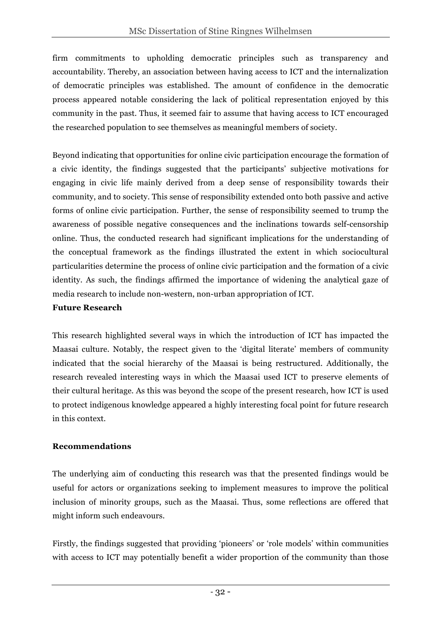firm commitments to upholding democratic principles such as transparency and accountability. Thereby, an association between having access to ICT and the internalization of democratic principles was established. The amount of confidence in the democratic process appeared notable considering the lack of political representation enjoyed by this community in the past. Thus, it seemed fair to assume that having access to ICT encouraged the researched population to see themselves as meaningful members of society.

Beyond indicating that opportunities for online civic participation encourage the formation of a civic identity, the findings suggested that the participants' subjective motivations for engaging in civic life mainly derived from a deep sense of responsibility towards their community, and to society. This sense of responsibility extended onto both passive and active forms of online civic participation. Further, the sense of responsibility seemed to trump the awareness of possible negative consequences and the inclinations towards self-censorship online. Thus, the conducted research had significant implications for the understanding of the conceptual framework as the findings illustrated the extent in which sociocultural particularities determine the process of online civic participation and the formation of a civic identity. As such, the findings affirmed the importance of widening the analytical gaze of media research to include non-western, non-urban appropriation of ICT.

#### **Future Research**

This research highlighted several ways in which the introduction of ICT has impacted the Maasai culture. Notably, the respect given to the 'digital literate' members of community indicated that the social hierarchy of the Maasai is being restructured. Additionally, the research revealed interesting ways in which the Maasai used ICT to preserve elements of their cultural heritage. As this was beyond the scope of the present research, how ICT is used to protect indigenous knowledge appeared a highly interesting focal point for future research in this context.

## **Recommendations**

The underlying aim of conducting this research was that the presented findings would be useful for actors or organizations seeking to implement measures to improve the political inclusion of minority groups, such as the Maasai. Thus, some reflections are offered that might inform such endeavours.

Firstly, the findings suggested that providing 'pioneers' or 'role models' within communities with access to ICT may potentially benefit a wider proportion of the community than those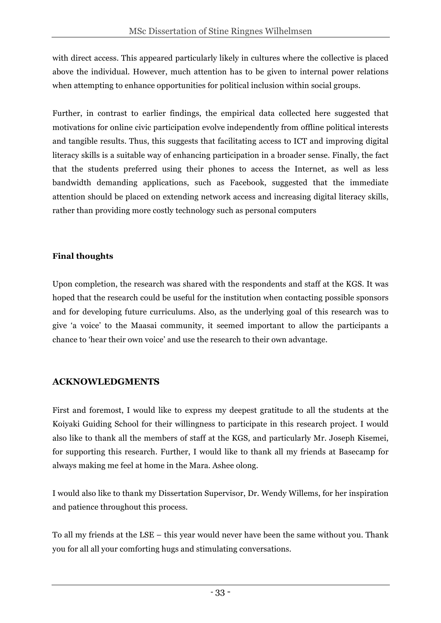with direct access. This appeared particularly likely in cultures where the collective is placed above the individual. However, much attention has to be given to internal power relations when attempting to enhance opportunities for political inclusion within social groups.

Further, in contrast to earlier findings, the empirical data collected here suggested that motivations for online civic participation evolve independently from offline political interests and tangible results. Thus, this suggests that facilitating access to ICT and improving digital literacy skills is a suitable way of enhancing participation in a broader sense. Finally, the fact that the students preferred using their phones to access the Internet, as well as less bandwidth demanding applications, such as Facebook, suggested that the immediate attention should be placed on extending network access and increasing digital literacy skills, rather than providing more costly technology such as personal computers

## **Final thoughts**

Upon completion, the research was shared with the respondents and staff at the KGS. It was hoped that the research could be useful for the institution when contacting possible sponsors and for developing future curriculums. Also, as the underlying goal of this research was to give 'a voice' to the Maasai community, it seemed important to allow the participants a chance to 'hear their own voice' and use the research to their own advantage.

## **ACKNOWLEDGMENTS**

First and foremost, I would like to express my deepest gratitude to all the students at the Koiyaki Guiding School for their willingness to participate in this research project. I would also like to thank all the members of staff at the KGS, and particularly Mr. Joseph Kisemei, for supporting this research. Further, I would like to thank all my friends at Basecamp for always making me feel at home in the Mara. Ashee olong.

I would also like to thank my Dissertation Supervisor, Dr. Wendy Willems, for her inspiration and patience throughout this process.

To all my friends at the LSE – this year would never have been the same without you. Thank you for all all your comforting hugs and stimulating conversations.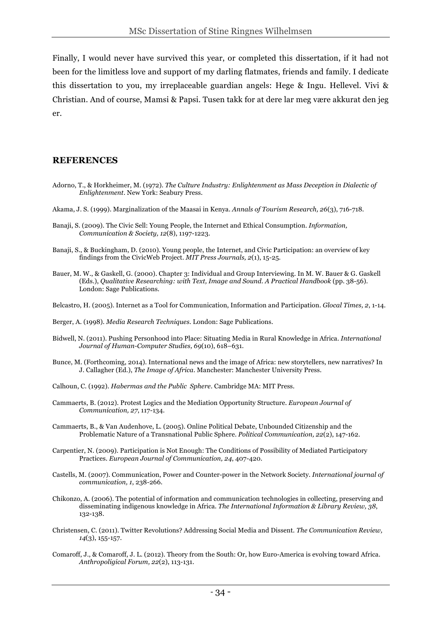Finally, I would never have survived this year, or completed this dissertation, if it had not been for the limitless love and support of my darling flatmates, friends and family. I dedicate this dissertation to you, my irreplaceable guardian angels: Hege & Ingu. Hellevel. Vivi & Christian. And of course, Mamsi & Papsi. Tusen takk for at dere lar meg være akkurat den jeg er.

#### **REFERENCES**

- Adorno, T., & Horkheimer, M. (1972). *The Culture Industry: Enlightenment as Mass Deception in Dialectic of Enlightenment*. New York: Seabury Press.
- Akama, J. S. (1999). Marginalization of the Maasai in Kenya. *Annals of Tourism Research, 26*(3), 716-718.
- Banaji, S. (2009). The Civic Sell: Young People, the Internet and Ethical Consumption. *Information, Communication & Society, 12*(8), 1197-1223.
- Banaji, S., & Buckingham, D. (2010). Young people, the Internet, and Civic Participation: an overview of key findings from the CivicWeb Project. *MIT Press Journals, 2*(1), 15-25.
- Bauer, M. W., & Gaskell, G. (2000). Chapter 3: Individual and Group Interviewing. In M. W. Bauer & G. Gaskell (Eds.), *Qualitative Researching: with Text, Image and Sound. A Practical Handbook* (pp. 38-56). London: Sage Publications.
- Belcastro, H. (2005). Internet as a Tool for Communication, Information and Participation. *Glocal Times, 2*, 1-14.
- Berger, A. (1998). *Media Research Techniques*. London: Sage Publications.
- Bidwell, N. (2011). Pushing Personhood into Place: Situating Media in Rural Knowledge in Africa. *International Journal of Human-Computer Studies, 69*(10), 618–631.
- Bunce, M. (Forthcoming, 2014). International news and the image of Africa: new storytellers, new narratives? In J. Callagher (Ed.), *The Image of Africa*. Manchester: Manchester University Press.
- Calhoun, C. (1992). *Habermas and the Public Sphere*. Cambridge MA: MIT Press.
- Cammaerts, B. (2012). Protest Logics and the Mediation Opportunity Structure. *European Journal of Communication, 27*, 117-134.
- Cammaerts, B., & Van Audenhove, L. (2005). Online Political Debate, Unbounded Citizenship and the Problematic Nature of a Transnational Public Sphere. *Political Communication, 22*(2), 147-162.
- Carpentier, N. (2009). Participation is Not Enough: The Conditions of Possibility of Mediated Participatory Practices. *European Journal of Communication, 24*, 407-420.
- Castells, M. (2007). Communication, Power and Counter-power in the Network Society. *International journal of communication, 1*, 238-266.
- Chikonzo, A. (2006). The potential of information and communication technologies in collecting, preserving and disseminating indigenous knowledge in Africa. *The International Information & Library Review, 38*, 132-138.
- Christensen, C. (2011). Twitter Revolutions? Addressing Social Media and Dissent. *The Communication Review, 14*(3), 155-157.
- Comaroff, J., & Comaroff, J. L. (2012). Theory from the South: Or, how Euro-America is evolving toward Africa. *Anthropoligical Forum, 22*(2), 113-131.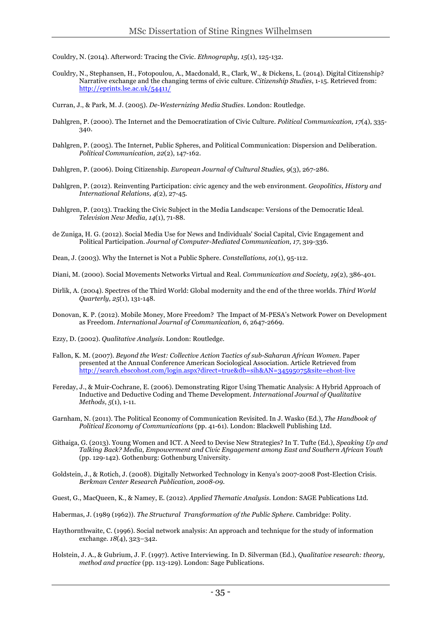Couldry, N. (2014). Afterword: Tracing the Civic. *Ethnography, 15*(1), 125-132.

Couldry, N., Stephansen, H., Fotopoulou, A., Macdonald, R., Clark, W., & Dickens, L. (2014). Digital Citizenship? Narrative exchange and the changing terms of civic culture. *Citizenship Studies*, 1-15. Retrieved from: http://eprints.lse.ac.uk/54411/

Curran, J., & Park, M. J. (2005). *De-Westernizing Media Studies*. London: Routledge.

- Dahlgren, P. (2000). The Internet and the Democratization of Civic Culture. *Political Communication, 17*(4), 335- 340.
- Dahlgren, P. (2005). The Internet, Public Spheres, and Political Communication: Dispersion and Deliberation. *Political Communication, 22*(2), 147-162.

Dahlgren, P. (2006). Doing Citizenship. *European Journal of Cultural Studies, 9*(3), 267-286.

- Dahlgren, P. (2012). Reinventing Participation: civic agency and the web environment. *Geopolitics, History and International Relations, 4*(2), 27-45.
- Dahlgren, P. (2013). Tracking the Civic Subject in the Media Landscape: Versions of the Democratic Ideal. *Television New Media, 14*(1), 71-88.
- de Zuniga, H. G. (2012). Social Media Use for News and Individuals' Social Capital, Civic Engagement and Political Participation. *Journal of Computer-Mediated Communication, 17*, 319-336.
- Dean, J. (2003). Why the Internet is Not a Public Sphere. *Constellations, 10*(1), 95-112.
- Diani, M. (2000). Social Movements Networks Virtual and Real. *Communication and Society, 19*(2), 386-401.
- Dirlik, A. (2004). Spectres of the Third World: Global modernity and the end of the three worlds. *Third World Quarterly, 25*(1), 131-148.
- Donovan, K. P. (2012). Mobile Money, More Freedom? The Impact of M-PESA's Network Power on Development as Freedom. *International Journal of Communication, 6*, 2647-2669.
- Ezzy, D. (2002). *Qualitative Analysis*. London: Routledge.
- Fallon, K. M. (2007). *Beyond the West: Collective Action Tactics of sub-Saharan African Women*. Paper presented at the Annual Conference American Sociological Association. Article Retrieved from http://search.ebscohost.com/login.aspx?direct=true&db=sih&AN=34595075&site=ehost-live
- Fereday, J., & Muir-Cochrane, E. (2006). Demonstrating Rigor Using Thematic Analysis: A Hybrid Approach of Inductive and Deductive Coding and Theme Development. *International Journal of Qualitative Methods, 5*(1), 1-11.
- Garnham, N. (2011). The Political Economy of Communication Revisited. In J. Wasko (Ed.), *The Handbook of Political Economy of Communications* (pp. 41-61). London: Blackwell Publishing Ltd.
- Githaiga, G. (2013). Young Women and ICT. A Need to Devise New Strategies? In T. Tufte (Ed.), *Speaking Up and Talking Back? Media, Empowerment and Civic Engagement among East and Southern African Youth* (pp. 129-142). Gothenburg: Gothenburg University.
- Goldstein, J., & Rotich, J. (2008). Digitally Networked Technology in Kenya's 2007-2008 Post-Election Crisis. *Berkman Center Research Publication, 2008-09*.
- Guest, G., MacQueen, K., & Namey, E. (2012). *Applied Thematic Analysis*. London: SAGE Publications Ltd.
- Habermas, J. (1989 (1962)). *The Structural Transformation of the Public Sphere*. Cambridge: Polity.
- Haythornthwaite, C. (1996). Social network analysis: An approach and technique for the study of information exchange. *18*(4), 323–342.
- Holstein, J. A., & Gubrium, J. F. (1997). Active Interviewing. In D. Silverman (Ed.), *Qualitative research: theory, method and practice* (pp. 113-129). London: Sage Publications.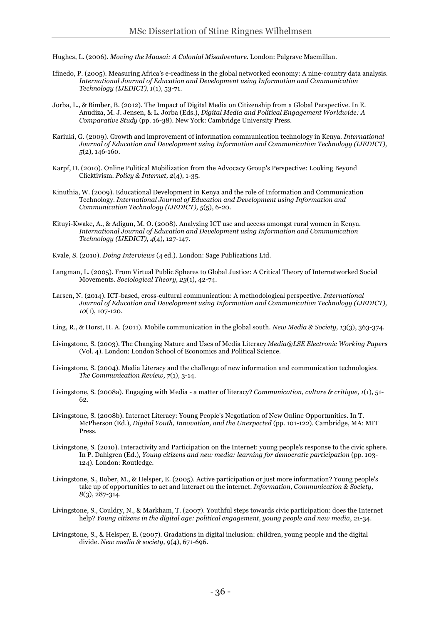Hughes, L. (2006). *Moving the Maasai: A Colonial Misadventure*. London: Palgrave Macmillan.

- Ifinedo, P. (2005). Measuring Africa's e-readiness in the global networked economy: A nine-country data analysis. *International Journal of Education and Development using Information and Communication Technology (IJEDICT), 1*(1), 53-71.
- Jorba, L., & Bimber, B. (2012). The Impact of Digital Media on Citizenship from a Global Perspective. In E. Anudiza, M. J. Jensen, & L. Jorba (Eds.), *Digital Media and Political Engagement Worldwide: A Comparative Study* (pp. 16-38). New York: Cambridge University Press.
- Kariuki, G. (2009). Growth and improvement of information communication technology in Kenya. *International Journal of Education and Development using Information and Communication Technology (IJEDICT), 5*(2), 146-160.
- Karpf, D. (2010). Online Political Mobilization from the Advocacy Group's Perspective: Looking Beyond Clicktivism. *Policy & Internet, 2*(4), 1-35.
- Kinuthia, W. (2009). Educational Development in Kenya and the role of Information and Communication Technology. *International Journal of Education and Development using Information and Communication Technology (IJEDICT), 5*(5), 6-20.
- Kituyi-Kwake, A., & Adigun, M. O. (2008). Analyzing ICT use and access amongst rural women in Kenya. *International Journal of Education and Development using Information and Communication Technology (IJEDICT), 4*(4), 127-147.
- Kvale, S. (2010). *Doing Interviews* (4 ed.). London: Sage Publications Ltd.
- Langman, L. (2005). From Virtual Public Spheres to Global Justice: A Critical Theory of Internetworked Social Movements. *Sociological Theory, 23*(1), 42-74.
- Larsen, N. (2014). ICT-based, cross-cultural communication: A methodological perspective. *International Journal of Education and Development using Information and Communication Technology (IJEDICT), 10*(1), 107-120.
- Ling, R., & Horst, H. A. (2011). Mobile communication in the global south. *New Media & Society, 13*(3), 363-374.
- Livingstone, S. (2003). The Changing Nature and Uses of Media Literacy *Media@LSE Electronic Working Papers* (Vol. 4). London: London School of Economics and Political Science.
- Livingstone, S. (2004). Media Literacy and the challenge of new information and communication technologies. *The Communication Review, 7*(1), 3-14.
- Livingstone, S. (2008a). Engaging with Media a matter of literacy? *Communication, culture & critique, 1*(1), 51- 62.
- Livingstone, S. (2008b). Internet Literacy: Young People's Negotiation of New Online Opportunities. In T. McPherson (Ed.), *Digital Youth, Innovation, and the Unexpected* (pp. 101-122). Cambridge, MA: MIT Press.
- Livingstone, S. (2010). Interactivity and Participation on the Internet: young people's response to the civic sphere. In P. Dahlgren (Ed.), *Young citizens and new media: learning for democratic participation* (pp. 103- 124). London: Routledge.
- Livingstone, S., Bober, M., & Helsper, E. (2005). Active participation or just more information? Young people's take up of opportunities to act and interact on the internet. *Information, Communication & Society, 8*(3), 287-314.
- Livingstone, S., Couldry, N., & Markham, T. (2007). Youthful steps towards civic participation: does the Internet help? *Young citizens in the digital age: political engagement, young people and new media*, 21-34.
- Livingstone, S., & Helsper, E. (2007). Gradations in digital inclusion: children, young people and the digital divide. *New media & society, 9*(4), 671-696.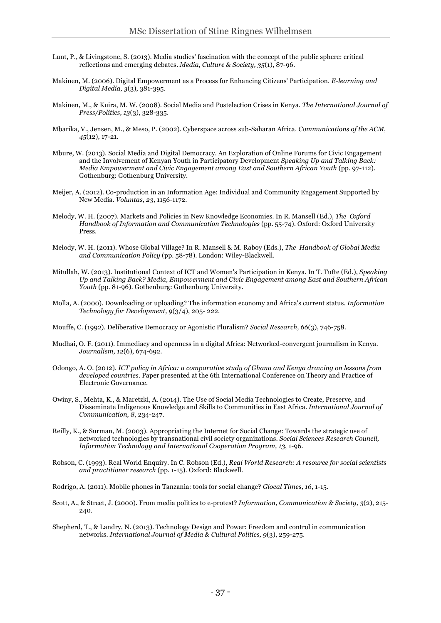- Lunt, P., & Livingstone, S. (2013). Media studies' fascination with the concept of the public sphere: critical reflections and emerging debates. *Media, Culture & Society, 35*(1), 87-96.
- Makinen, M. (2006). Digital Empowerment as a Process for Enhancing Citizens' Participation. *E-learning and Digital Media, 3*(3), 381-395.
- Makinen, M., & Kuira, M. W. (2008). Social Media and Postelection Crises in Kenya. *The International Journal of Press/Politics, 13*(3), 328-335.
- Mbarika, V., Jensen, M., & Meso, P. (2002). Cyberspace across sub-Saharan Africa. *Communications of the ACM, 45*(12), 17-21.
- Mbure, W. (2013). Social Media and Digital Democracy. An Exploration of Online Forums for Civic Engagement and the Involvement of Kenyan Youth in Participatory Development *Speaking Up and Talking Back: Media Empowerment and Civic Engagement among East and Southern African Youth* (pp. 97-112). Gothenburg: Gothenburg University.
- Meijer, A. (2012). Co-production in an Information Age: Individual and Community Engagement Supported by New Media. *Voluntas, 23*, 1156-1172.
- Melody, W. H. (2007). Markets and Policies in New Knowledge Economies. In R. Mansell (Ed.), *The Oxford Handbook of Information and Communication Technologies* (pp. 55-74). Oxford: Oxford University Press.
- Melody, W. H. (2011). Whose Global Village? In R. Mansell & M. Raboy (Eds.), *The Handbook of Global Media and Communication Policy* (pp. 58-78). London: Wiley-Blackwell.
- Mitullah, W. (2013). Institutional Context of ICT and Women's Participation in Kenya. In T. Tufte (Ed.), *Speaking Up and Talking Back? Media, Empowerment and Civic Engagement among East and Southern African Youth* (pp. 81-96). Gothenburg: Gothenburg University.
- Molla, A. (2000). Downloading or uploading? The information economy and Africa's current status. *Information Technology for Development, 9*(3/4), 205- 222.
- Mouffe, C. (1992). Deliberative Democracy or Agonistic Pluralism? *Social Research, 66*(3), 746-758.
- Mudhai, O. F. (2011). Immediacy and openness in a digital Africa: Networked-convergent journalism in Kenya. *Journalism, 12*(6), 674-692.
- Odongo, A. O. (2012). *ICT policy in Africa: a comparative study of Ghana and Kenya drawing on lessons from developed countries.* Paper presented at the 6th International Conference on Theory and Practice of Electronic Governance.
- Owiny, S., Mehta, K., & Maretzki, A. (2014). The Use of Social Media Technologies to Create, Preserve, and Disseminate Indigenous Knowledge and Skills to Communities in East Africa. *International Journal of Communication, 8*, 234-247.
- Reilly, K., & Surman, M. (2003). Appropriating the Internet for Social Change: Towards the strategic use of networked technologies by transnational civil society organizations. *Social Sciences Research Council, Information Technology and International Cooperation Program, 13*, 1-96.
- Robson, C. (1993). Real World Enquiry. In C. Robson (Ed.), *Real World Research: A resource for social scientists and practitioner research* (pp. 1-15). Oxford: Blackwell.
- Rodrigo, A. (2011). Mobile phones in Tanzania: tools for social change? *Glocal Times, 16*, 1-15.
- Scott, A., & Street, J. (2000). From media politics to e-protest? *Information, Communication & Society, 3*(2), 215- 240.
- Shepherd, T., & Landry, N. (2013). Technology Design and Power: Freedom and control in communication networks. *International Journal of Media & Cultural Politics, 9*(3), 259-275.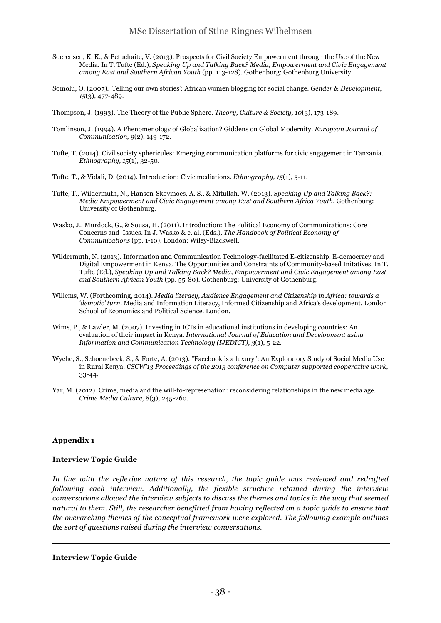- Soerensen, K. K., & Petuchaite, V. (2013). Prospects for Civil Society Empowerment through the Use of the New Media. In T. Tufte (Ed.), *Speaking Up and Talking Back? Media, Empowerment and Civic Engagement among East and Southern African Youth* (pp. 113-128). Gothenburg: Gothenburg University.
- Somolu, O. (2007). 'Telling our own stories': African women blogging for social change. *Gender & Development, 15*(3), 477-489.
- Thompson, J. (1993). The Theory of the Public Sphere. *Theory, Culture & Society, 10*(3), 173-189.
- Tomlinson, J. (1994). A Phenomenology of Globalization? Giddens on Global Modernity. *European Journal of Communication, 9*(2), 149-172.
- Tufte, T. (2014). Civil society sphericules: Emerging communication platforms for civic engagement in Tanzania. *Ethnography, 15*(1), 32-50.
- Tufte, T., & Vidali, D. (2014). Introduction: Civic mediations. *Ethnography, 15*(1), 5-11.
- Tufte, T., Wildermuth, N., Hansen-Skovmoes, A. S., & Mitullah, W. (2013). *Speaking Up and Talking Back?: Media Empowerment and Civic Engagement among East and Southern Africa Youth*. Gothenburg: University of Gothenburg.
- Wasko, J., Murdock, G., & Sousa, H. (2011). Introduction: The Political Economy of Communications: Core Concerns and Issues. In J. Wasko & e. al. (Eds.), *The Handbook of Political Economy of Communications* (pp. 1-10). London: Wiley-Blackwell.
- Wildermuth, N. (2013). Information and Communication Technology-facilitated E-citizenship, E-democracy and Digital Empowerment in Kenya, The Opportunities and Constraints of Community-based Initatives. In T. Tufte (Ed.), *Speaking Up and Talking Back? Media, Empowerment and Civic Engagement among East and Southern African Youth* (pp. 55-80). Gothenburg: University of Gothenburg.
- Willems, W. (Forthcoming, 2014). *Media literacy, Audience Engagement and Citizenship in Africa: towards a 'demotic' turn*. Media and Information Literacy, Informed Citizenship and Africa's development. London School of Economics and Political Science. London.
- Wims, P., & Lawler, M. (2007). Investing in ICTs in educational institutions in developing countries: An evaluation of their impact in Kenya. *International Journal of Education and Development using Information and Communication Technology (IJEDICT), 3*(1), 5-22.
- Wyche, S., Schoenebeck, S., & Forte, A. (2013). "Facebook is a luxury": An Exploratory Study of Social Media Use in Rural Kenya. *CSCW'13 Proceedings of the 2013 conference on Computer supported cooperative work*, 33-44.
- Yar, M. (2012). Crime, media and the will-to-represenation: reconsidering relationships in the new media age. *Crime Media Culture, 8*(3), 245-260.

#### **Appendix 1**

#### **Interview Topic Guide**

*In line with the reflexive nature of this research, the topic guide was reviewed and redrafted following each interview. Additionally, the flexible structure retained during the interview conversations allowed the interview subjects to discuss the themes and topics in the way that seemed natural to them. Still, the researcher benefitted from having reflected on a topic guide to ensure that the overarching themes of the conceptual framework were explored. The following example outlines the sort of questions raised during the interview conversations.* 

#### **Interview Topic Guide**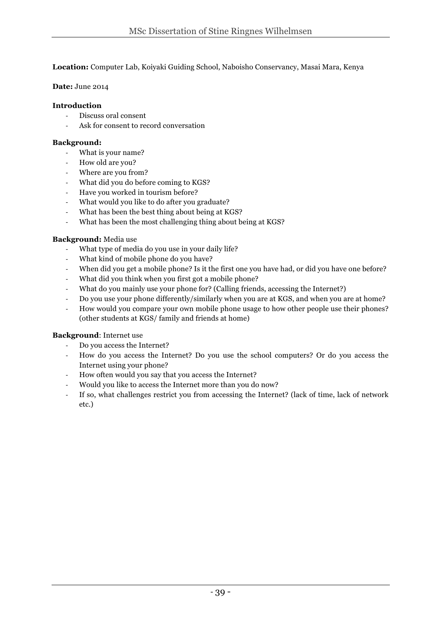#### **Location:** Computer Lab, Koiyaki Guiding School, Naboisho Conservancy, Masai Mara, Kenya

#### **Date:** June 2014

#### **Introduction**

- Discuss oral consent
- Ask for consent to record conversation

#### **Background:**

- What is your name?
- How old are you?
- Where are you from?
- What did you do before coming to KGS?
- Have you worked in tourism before?
- What would you like to do after you graduate?
- What has been the best thing about being at KGS?
- What has been the most challenging thing about being at KGS?

#### **Background:** Media use

- What type of media do you use in your daily life?
- What kind of mobile phone do you have?
- When did you get a mobile phone? Is it the first one you have had, or did you have one before?
- What did you think when you first got a mobile phone?
- What do you mainly use your phone for? (Calling friends, accessing the Internet?)
- Do you use your phone differently/similarly when you are at KGS, and when you are at home?
- How would you compare your own mobile phone usage to how other people use their phones? (other students at KGS/ family and friends at home)

#### **Background**: Internet use

- Do you access the Internet?
- How do you access the Internet? Do you use the school computers? Or do you access the Internet using your phone?
- How often would you say that you access the Internet?
- Would you like to access the Internet more than you do now?
- If so, what challenges restrict you from accessing the Internet? (lack of time, lack of network etc.)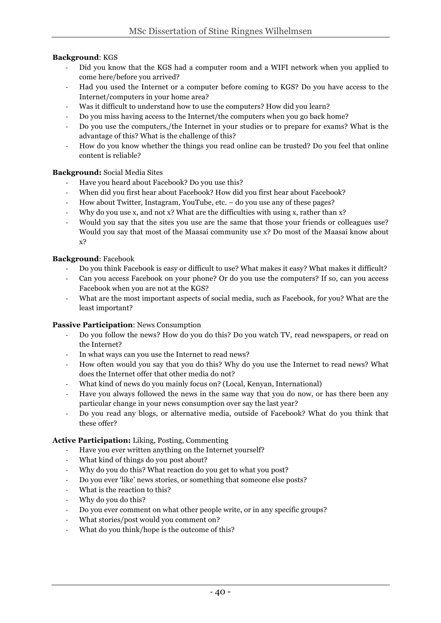#### **Background**: KGS

- Did you know that the KGS had a computer room and a WIFI network when you applied to come here/before you arrived?
- Had you used the Internet or a computer before coming to KGS? Do you have access to the Internet/computers in your home area?
- Was it difficult to understand how to use the computers? How did you learn?
- Do you miss having access to the Internet/the computers when you go back home?
- Do you use the computers,/the Internet in your studies or to prepare for exams? What is the advantage of this? What is the challenge of this?
- How do you know whether the things you read online can be trusted? Do you feel that online content is reliable?

#### **Background:** Social Media Sites

- Have you heard about Facebook? Do you use this?
- When did you first hear about Facebook? How did you first hear about Facebook?
- How about Twitter, Instagram, YouTube, etc. do you use any of these pages?
- Why do you use x, and not x? What are the difficulties with using x, rather than x?
- Would you say that the sites you use are the same that those your friends or colleagues use? Would you say that most of the Maasai community use x? Do most of the Maasai know about x?

#### **Background**: Facebook

- Do you think Facebook is easy or difficult to use? What makes it easy? What makes it difficult?
- Can you access Facebook on your phone? Or do you use the computers? If so, can you access Facebook when you are not at the KGS?
- What are the most important aspects of social media, such as Facebook, for you? What are the least important?

#### **Passive Participation**: News Consumption

- Do you follow the news? How do you do this? Do you watch TV, read newspapers, or read on the Internet?
- In what ways can you use the Internet to read news?
- How often would you say that you do this? Why do you use the Internet to read news? What does the Internet offer that other media do not?
- What kind of news do you mainly focus on? (Local, Kenyan, International)
- Have you always followed the news in the same way that you do now, or has there been any particular change in your news consumption over say the last year?
- Do you read any blogs, or alternative media, outside of Facebook? What do you think that these offer?

#### **Active Participation:** Liking, Posting, Commenting

- Have you ever written anything on the Internet yourself?
- What kind of things do you post about?
- Why do you do this? What reaction do you get to what you post?
- Do you ever 'like' news stories, or something that someone else posts?
- What is the reaction to this?
- Why do you do this?
- Do you ever comment on what other people write, or in any specific groups?
- What stories/post would you comment on?
- What do you think/hope is the outcome of this?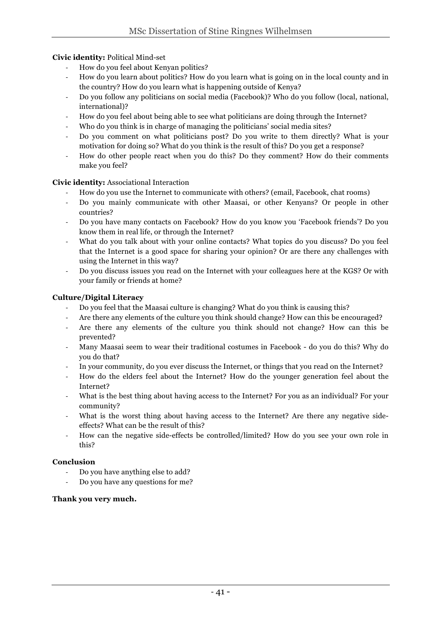#### **Civic identity:** Political Mind-set

- How do you feel about Kenyan politics?
- How do you learn about politics? How do you learn what is going on in the local county and in the country? How do you learn what is happening outside of Kenya?
- Do you follow any politicians on social media (Facebook)? Who do you follow (local, national, international)?
- How do you feel about being able to see what politicians are doing through the Internet?
- Who do you think is in charge of managing the politicians' social media sites?
- Do you comment on what politicians post? Do you write to them directly? What is your motivation for doing so? What do you think is the result of this? Do you get a response?
- How do other people react when you do this? Do they comment? How do their comments make you feel?

#### **Civic identity:** Associational Interaction

- How do you use the Internet to communicate with others? (email, Facebook, chat rooms)
- Do you mainly communicate with other Maasai, or other Kenyans? Or people in other countries?
- Do you have many contacts on Facebook? How do you know you 'Facebook friends'? Do you know them in real life, or through the Internet?
- What do you talk about with your online contacts? What topics do you discuss? Do you feel that the Internet is a good space for sharing your opinion? Or are there any challenges with using the Internet in this way?
- Do you discuss issues you read on the Internet with your colleagues here at the KGS? Or with your family or friends at home?

#### **Culture/Digital Literacy**

- Do you feel that the Maasai culture is changing? What do you think is causing this?
- Are there any elements of the culture you think should change? How can this be encouraged?
- Are there any elements of the culture you think should not change? How can this be prevented?
- Many Maasai seem to wear their traditional costumes in Facebook do you do this? Why do you do that?
- In your community, do you ever discuss the Internet, or things that you read on the Internet?
- How do the elders feel about the Internet? How do the younger generation feel about the Internet?
- What is the best thing about having access to the Internet? For you as an individual? For your community?
- What is the worst thing about having access to the Internet? Are there any negative sideeffects? What can be the result of this?
- How can the negative side-effects be controlled/limited? How do you see your own role in this?

#### **Conclusion**

- Do you have anything else to add?
- Do you have any questions for me?

#### **Thank you very much.**